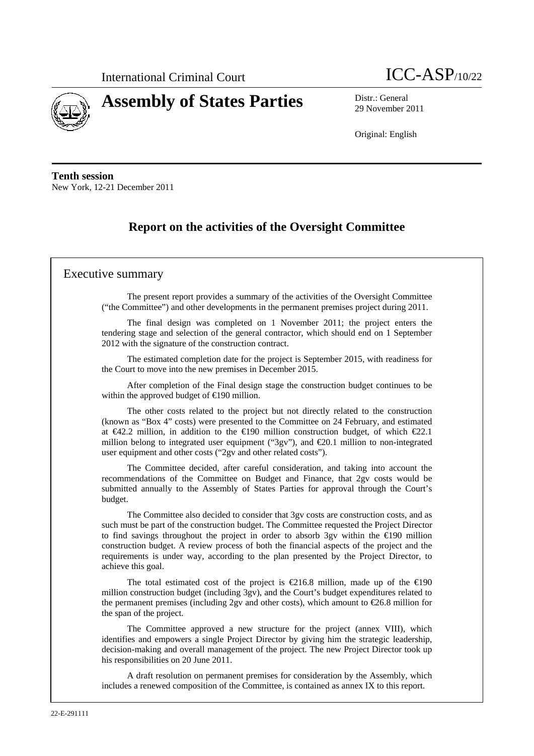



29 November 2011

Original: English

**Tenth session**  New York, 12-21 December 2011

# **Report on the activities of the Oversight Committee**

### Executive summary

The present report provides a summary of the activities of the Oversight Committee ("the Committee") and other developments in the permanent premises project during 2011.

The final design was completed on 1 November 2011; the project enters the tendering stage and selection of the general contractor, which should end on 1 September 2012 with the signature of the construction contract.

The estimated completion date for the project is September 2015, with readiness for the Court to move into the new premises in December 2015.

After completion of the Final design stage the construction budget continues to be within the approved budget of  $\in$ 190 million.

The other costs related to the project but not directly related to the construction (known as "Box 4" costs) were presented to the Committee on 24 February, and estimated at €42.2 million, in addition to the €190 million construction budget, of which €22.1 million belong to integrated user equipment ("3gv"), and  $\epsilon$ 20.1 million to non-integrated user equipment and other costs ("2gv and other related costs").

The Committee decided, after careful consideration, and taking into account the recommendations of the Committee on Budget and Finance, that 2gv costs would be submitted annually to the Assembly of States Parties for approval through the Court's budget.

The Committee also decided to consider that 3gv costs are construction costs, and as such must be part of the construction budget. The Committee requested the Project Director to find savings throughout the project in order to absorb 3gv within the  $\bigoplus$ 90 million construction budget. A review process of both the financial aspects of the project and the requirements is under way, according to the plan presented by the Project Director, to achieve this goal.

The total estimated cost of the project is  $\epsilon$ 216.8 million, made up of the  $\epsilon$ 190 million construction budget (including 3gv), and the Court's budget expenditures related to the permanent premises (including 2gv and other costs), which amount to €26.8 million for the span of the project.

The Committee approved a new structure for the project (annex VIII), which identifies and empowers a single Project Director by giving him the strategic leadership, decision-making and overall management of the project. The new Project Director took up his responsibilities on 20 June 2011.

A draft resolution on permanent premises for consideration by the Assembly, which includes a renewed composition of the Committee, is contained as annex IX to this report.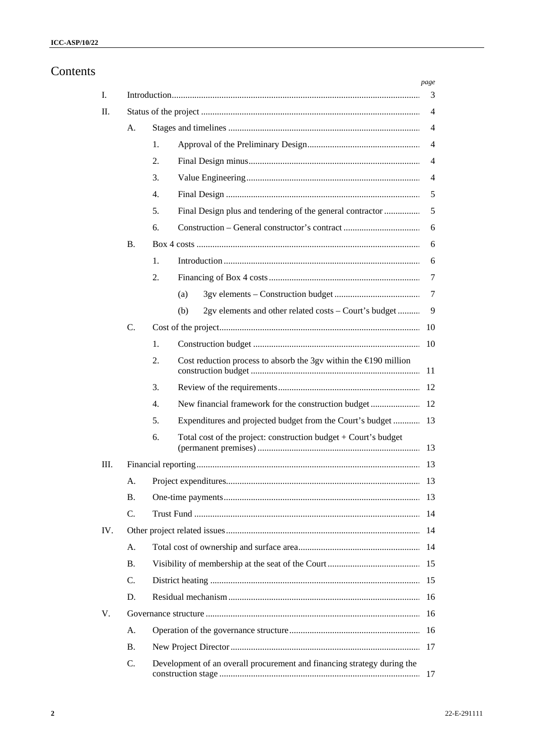# Contents

| Ι.  |           |                  |     |                                                                         | page<br>3      |
|-----|-----------|------------------|-----|-------------------------------------------------------------------------|----------------|
| П.  |           |                  |     |                                                                         | $\overline{4}$ |
|     | А.        |                  |     |                                                                         | $\overline{4}$ |
|     |           | 1.               |     |                                                                         | $\overline{4}$ |
|     |           | 2.               |     |                                                                         | $\overline{4}$ |
|     |           | 3.               |     |                                                                         | $\overline{4}$ |
|     |           | $\overline{4}$ . |     |                                                                         | 5              |
|     |           | 5.               |     | Final Design plus and tendering of the general contractor               | 5              |
|     |           | 6.               |     |                                                                         | 6              |
|     | <b>B.</b> |                  |     |                                                                         | 6              |
|     |           | 1.               |     |                                                                         | 6              |
|     |           | 2.               |     |                                                                         | 7              |
|     |           |                  | (a) |                                                                         | 7              |
|     |           |                  | (b) | 2gv elements and other related costs – Court's budget                   | 9              |
|     | C.        |                  |     |                                                                         | 10             |
|     |           | 1.               |     |                                                                         | 10             |
|     |           | 2.               |     | Cost reduction process to absorb the 3gv within the $\in$ 190 million   | 11             |
|     |           | 3.               |     |                                                                         | 12             |
|     |           | $\overline{4}$ . |     |                                                                         |                |
|     |           | 5.               |     | Expenditures and projected budget from the Court's budget  13           |                |
|     |           | 6.               |     | Total cost of the project: construction budget $+$ Court's budget       | 13             |
| Ш.  |           |                  |     |                                                                         | 13             |
|     | А.        |                  |     |                                                                         | 13             |
|     | <b>B.</b> |                  |     |                                                                         | 13             |
|     | C.        |                  |     |                                                                         | 14             |
| IV. |           |                  |     |                                                                         | 14             |
|     | А.        |                  |     |                                                                         | 14             |
|     | <b>B.</b> |                  |     |                                                                         | 15             |
|     | C.        |                  |     |                                                                         |                |
|     | D.        |                  |     |                                                                         | 16             |
| V.  |           |                  |     |                                                                         | 16             |
|     | A.        |                  |     |                                                                         | 16             |
|     | <b>B.</b> |                  |     |                                                                         | 17             |
|     | C.        |                  |     | Development of an overall procurement and financing strategy during the | 17             |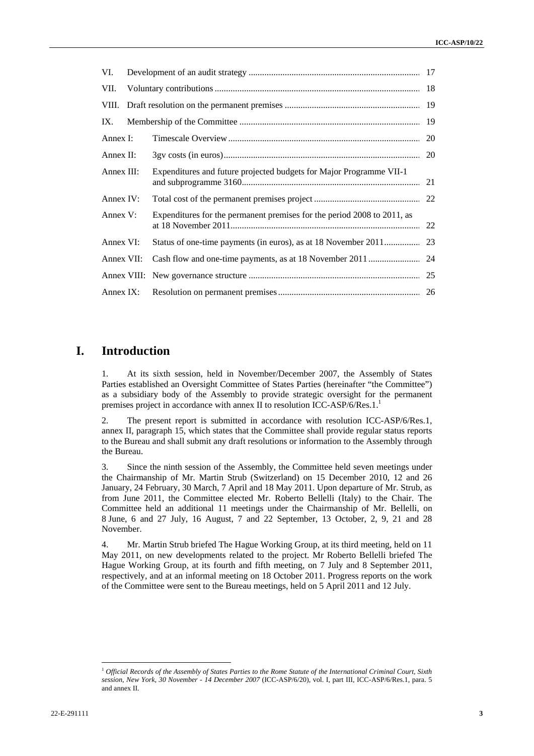| VI.         |                                                                         |  |
|-------------|-------------------------------------------------------------------------|--|
| VII.        |                                                                         |  |
|             |                                                                         |  |
| IX.         |                                                                         |  |
| Annex I:    |                                                                         |  |
| Annex II:   |                                                                         |  |
| Annex III:  | Expenditures and future projected budgets for Major Programme VII-1     |  |
| Annex IV:   |                                                                         |  |
| Annex V:    | Expenditures for the permanent premises for the period 2008 to 2011, as |  |
| Annex VI:   |                                                                         |  |
| Annex VII:  |                                                                         |  |
|             |                                                                         |  |
| Annex $IX:$ |                                                                         |  |

### **I. Introduction**

1. At its sixth session, held in November/December 2007, the Assembly of States Parties established an Oversight Committee of States Parties (hereinafter "the Committee") as a subsidiary body of the Assembly to provide strategic oversight for the permanent premises project in accordance with annex II to resolution ICC-ASP/6/Res.1.<sup>1</sup>

2. The present report is submitted in accordance with resolution ICC-ASP/6/Res.1, annex II, paragraph 15, which states that the Committee shall provide regular status reports to the Bureau and shall submit any draft resolutions or information to the Assembly through the Bureau.

3. Since the ninth session of the Assembly, the Committee held seven meetings under the Chairmanship of Mr. Martin Strub (Switzerland) on 15 December 2010, 12 and 26 January, 24 February, 30 March, 7 April and 18 May 2011. Upon departure of Mr. Strub, as from June 2011, the Committee elected Mr. Roberto Bellelli (Italy) to the Chair. The Committee held an additional 11 meetings under the Chairmanship of Mr. Bellelli, on 8 June, 6 and 27 July, 16 August, 7 and 22 September, 13 October, 2, 9, 21 and 28 November.

4. Mr. Martin Strub briefed The Hague Working Group, at its third meeting, held on 11 May 2011, on new developments related to the project. Mr Roberto Bellelli briefed The Hague Working Group, at its fourth and fifth meeting, on 7 July and 8 September 2011, respectively, and at an informal meeting on 18 October 2011. Progress reports on the work of the Committee were sent to the Bureau meetings, held on 5 April 2011 and 12 July.

<sup>1</sup> *Official Records of the Assembly of States Parties to the Rome Statute of the International Criminal Court, Sixth session, New York, 30 November - 14 December 2007* (ICC-ASP/6/20), vol. I, part III, ICC-ASP/6/Res.1, para. 5 and annex II.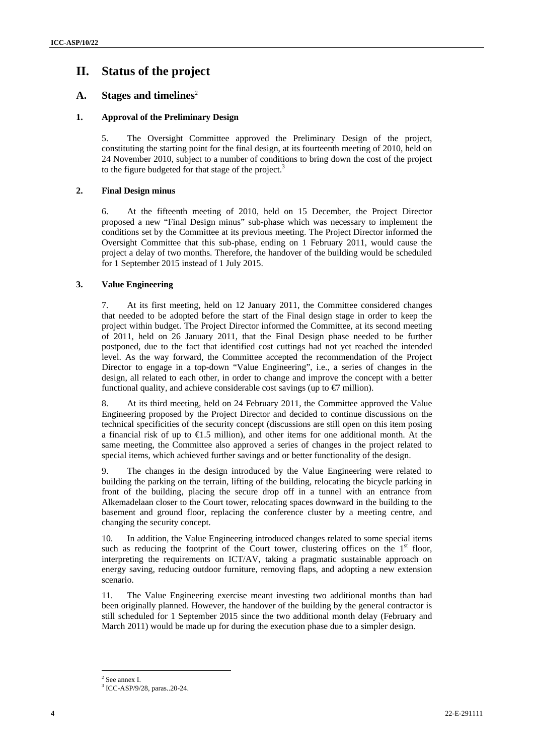## **II. Status of the project**

### A. Stages and timelines<sup>2</sup>

#### **1. Approval of the Preliminary Design**

5. The Oversight Committee approved the Preliminary Design of the project, constituting the starting point for the final design, at its fourteenth meeting of 2010, held on 24 November 2010, subject to a number of conditions to bring down the cost of the project to the figure budgeted for that stage of the project. $3$ 

#### **2. Final Design minus**

6. At the fifteenth meeting of 2010, held on 15 December, the Project Director proposed a new "Final Design minus" sub-phase which was necessary to implement the conditions set by the Committee at its previous meeting. The Project Director informed the Oversight Committee that this sub-phase, ending on 1 February 2011, would cause the project a delay of two months. Therefore, the handover of the building would be scheduled for 1 September 2015 instead of 1 July 2015.

#### **3. Value Engineering**

7. At its first meeting, held on 12 January 2011, the Committee considered changes that needed to be adopted before the start of the Final design stage in order to keep the project within budget. The Project Director informed the Committee, at its second meeting of 2011, held on 26 January 2011, that the Final Design phase needed to be further postponed, due to the fact that identified cost cuttings had not yet reached the intended level. As the way forward, the Committee accepted the recommendation of the Project Director to engage in a top-down "Value Engineering", i.e., a series of changes in the design, all related to each other, in order to change and improve the concept with a better functional quality, and achieve considerable cost savings (up to  $\epsilon$ 7 million).

8. At its third meeting, held on 24 February 2011, the Committee approved the Value Engineering proposed by the Project Director and decided to continue discussions on the technical specificities of the security concept (discussions are still open on this item posing a financial risk of up to  $\epsilon 1.5$  million), and other items for one additional month. At the same meeting, the Committee also approved a series of changes in the project related to special items, which achieved further savings and or better functionality of the design.

9. The changes in the design introduced by the Value Engineering were related to building the parking on the terrain, lifting of the building, relocating the bicycle parking in front of the building, placing the secure drop off in a tunnel with an entrance from Alkemadelaan closer to the Court tower, relocating spaces downward in the building to the basement and ground floor, replacing the conference cluster by a meeting centre, and changing the security concept.

10. In addition, the Value Engineering introduced changes related to some special items such as reducing the footprint of the Court tower, clustering offices on the  $1<sup>st</sup>$  floor, interpreting the requirements on ICT/AV, taking a pragmatic sustainable approach on energy saving, reducing outdoor furniture, removing flaps, and adopting a new extension scenario.

11. The Value Engineering exercise meant investing two additional months than had been originally planned. However, the handover of the building by the general contractor is still scheduled for 1 September 2015 since the two additional month delay (February and March 2011) would be made up for during the execution phase due to a simpler design.

<sup>2</sup> See annex I.

<sup>3</sup> ICC-ASP/9/28, paras..20-24.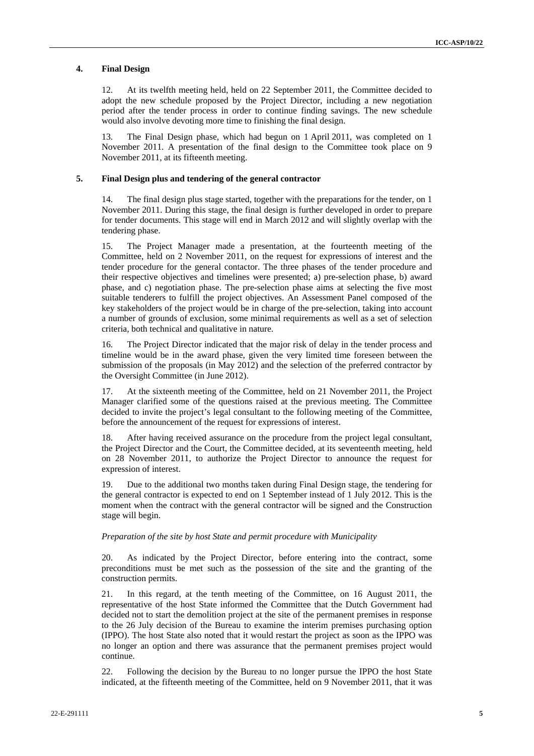#### **4. Final Design**

12. At its twelfth meeting held, held on 22 September 2011, the Committee decided to adopt the new schedule proposed by the Project Director, including a new negotiation period after the tender process in order to continue finding savings. The new schedule would also involve devoting more time to finishing the final design.

13. The Final Design phase, which had begun on 1 April 2011, was completed on 1 November 2011. A presentation of the final design to the Committee took place on 9 November 2011, at its fifteenth meeting.

#### **5. Final Design plus and tendering of the general contractor**

14. The final design plus stage started, together with the preparations for the tender, on 1 November 2011. During this stage, the final design is further developed in order to prepare for tender documents. This stage will end in March 2012 and will slightly overlap with the tendering phase.

15. The Project Manager made a presentation, at the fourteenth meeting of the Committee, held on 2 November 2011, on the request for expressions of interest and the tender procedure for the general contactor. The three phases of the tender procedure and their respective objectives and timelines were presented; a) pre-selection phase, b) award phase, and c) negotiation phase. The pre-selection phase aims at selecting the five most suitable tenderers to fulfill the project objectives. An Assessment Panel composed of the key stakeholders of the project would be in charge of the pre-selection, taking into account a number of grounds of exclusion, some minimal requirements as well as a set of selection criteria, both technical and qualitative in nature.

16. The Project Director indicated that the major risk of delay in the tender process and timeline would be in the award phase, given the very limited time foreseen between the submission of the proposals (in May 2012) and the selection of the preferred contractor by the Oversight Committee (in June 2012).

17. At the sixteenth meeting of the Committee, held on 21 November 2011, the Project Manager clarified some of the questions raised at the previous meeting. The Committee decided to invite the project's legal consultant to the following meeting of the Committee, before the announcement of the request for expressions of interest.

18. After having received assurance on the procedure from the project legal consultant, the Project Director and the Court, the Committee decided, at its seventeenth meeting, held on 28 November 2011, to authorize the Project Director to announce the request for expression of interest.

19. Due to the additional two months taken during Final Design stage, the tendering for the general contractor is expected to end on 1 September instead of 1 July 2012. This is the moment when the contract with the general contractor will be signed and the Construction stage will begin.

#### *Preparation of the site by host State and permit procedure with Municipality*

20. As indicated by the Project Director, before entering into the contract, some preconditions must be met such as the possession of the site and the granting of the construction permits.

21. In this regard, at the tenth meeting of the Committee, on 16 August 2011, the representative of the host State informed the Committee that the Dutch Government had decided not to start the demolition project at the site of the permanent premises in response to the 26 July decision of the Bureau to examine the interim premises purchasing option (IPPO). The host State also noted that it would restart the project as soon as the IPPO was no longer an option and there was assurance that the permanent premises project would continue.

22. Following the decision by the Bureau to no longer pursue the IPPO the host State indicated, at the fifteenth meeting of the Committee, held on 9 November 2011, that it was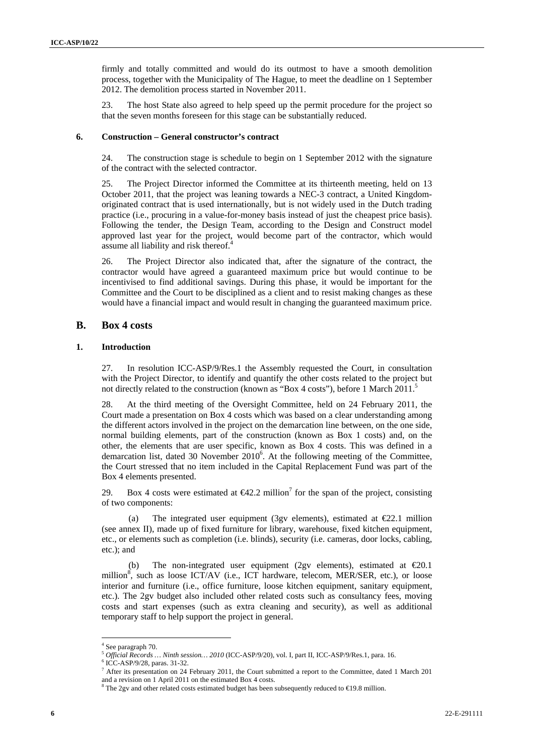firmly and totally committed and would do its outmost to have a smooth demolition process, together with the Municipality of The Hague, to meet the deadline on 1 September 2012. The demolition process started in November 2011.

23. The host State also agreed to help speed up the permit procedure for the project so that the seven months foreseen for this stage can be substantially reduced.

#### **6. Construction – General constructor's contract**

24. The construction stage is schedule to begin on 1 September 2012 with the signature of the contract with the selected contractor.

25. The Project Director informed the Committee at its thirteenth meeting, held on 13 October 2011, that the project was leaning towards a NEC-3 contract, a United Kingdomoriginated contract that is used internationally, but is not widely used in the Dutch trading practice (i.e., procuring in a value-for-money basis instead of just the cheapest price basis). Following the tender, the Design Team, according to the Design and Construct model approved last year for the project, would become part of the contractor, which would assume all liability and risk thereof.<sup>4</sup>

26. The Project Director also indicated that, after the signature of the contract, the contractor would have agreed a guaranteed maximum price but would continue to be incentivised to find additional savings. During this phase, it would be important for the Committee and the Court to be disciplined as a client and to resist making changes as these would have a financial impact and would result in changing the guaranteed maximum price.

#### **B. Box 4 costs**

#### **1. Introduction**

27. In resolution ICC-ASP/9/Res.1 the Assembly requested the Court, in consultation with the Project Director, to identify and quantify the other costs related to the project but not directly related to the construction (known as "Box 4 costs"), before 1 March 2011.<sup>5</sup>

28. At the third meeting of the Oversight Committee, held on 24 February 2011, the Court made a presentation on Box 4 costs which was based on a clear understanding among the different actors involved in the project on the demarcation line between, on the one side, normal building elements, part of the construction (known as Box 1 costs) and, on the other, the elements that are user specific, known as Box 4 costs. This was defined in a demarcation list, dated 30 November 2010<sup>6</sup>. At the following meeting of the Committee, the Court stressed that no item included in the Capital Replacement Fund was part of the Box 4 elements presented.

29. Box 4 costs were estimated at  $\epsilon 42.2$  million<sup>7</sup> for the span of the project, consisting of two components:

(a) The integrated user equipment (3gv elements), estimated at  $\epsilon$ 2.1 million (see annex II), made up of fixed furniture for library, warehouse, fixed kitchen equipment, etc., or elements such as completion (i.e. blinds), security (i.e. cameras, door locks, cabling, etc.); and

(b) The non-integrated user equipment (2gv elements), estimated at  $\epsilon 20.1$ million<sup>8</sup>, such as loose ICT/AV (i.e., ICT hardware, telecom, MER/SER, etc.), or loose interior and furniture (i.e., office furniture, loose kitchen equipment, sanitary equipment, etc.). The 2gv budget also included other related costs such as consultancy fees, moving costs and start expenses (such as extra cleaning and security), as well as additional temporary staff to help support the project in general.

<sup>4</sup> See paragraph 70.

<sup>&</sup>lt;sup>5</sup> Official Records … Ninth session... 2010 (ICC-ASP/9/20), vol. I, part II, ICC-ASP/9/Res.1, para. 16. 6 ICC ASD/0/28, parae. 21. 22

<sup>&</sup>lt;sup>6</sup> ICC-ASP/9/28, paras. 31-32.

<sup>&</sup>lt;sup>7</sup> After its presentation on 24 February 2011, the Court submitted a report to the Committee, dated 1 March 201 and a revision on 1 April 2011 on the estimated Box 4 costs.

<sup>&</sup>lt;sup>8</sup> The 2gv and other related costs estimated budget has been subsequently reduced to  $\in$ 19.8 million.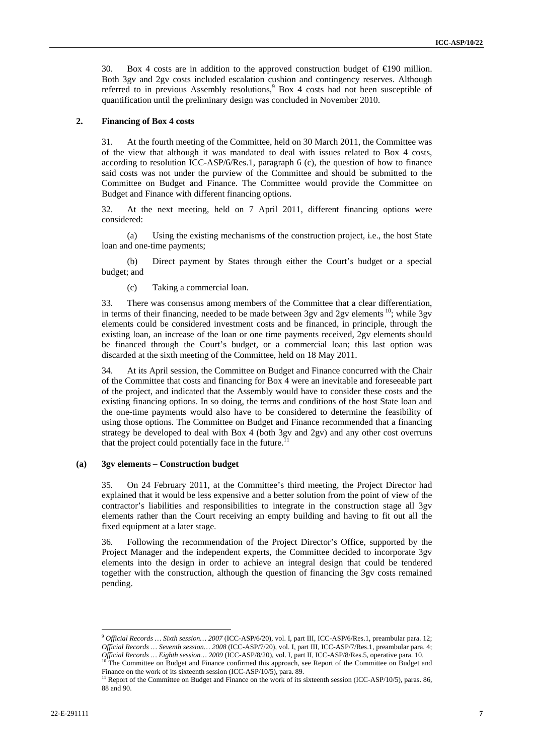30. Box 4 costs are in addition to the approved construction budget of  $\epsilon$ 190 million. Both 3gv and 2gv costs included escalation cushion and contingency reserves. Although referred to in previous Assembly resolutions,<sup>9</sup> Box 4 costs had not been susceptible of quantification until the preliminary design was concluded in November 2010.

#### **2. Financing of Box 4 costs**

31. At the fourth meeting of the Committee, held on 30 March 2011, the Committee was of the view that although it was mandated to deal with issues related to Box 4 costs, according to resolution ICC-ASP/6/Res.1, paragraph 6 (c), the question of how to finance said costs was not under the purview of the Committee and should be submitted to the Committee on Budget and Finance. The Committee would provide the Committee on Budget and Finance with different financing options.

32. At the next meeting, held on 7 April 2011, different financing options were considered:

(a) Using the existing mechanisms of the construction project, i.e., the host State loan and one-time payments;

(b) Direct payment by States through either the Court's budget or a special budget; and

(c) Taking a commercial loan.

33. There was consensus among members of the Committee that a clear differentiation, in terms of their financing, needed to be made between 3gv and 2gv elements  $10$ ; while 3gv elements could be considered investment costs and be financed, in principle, through the existing loan, an increase of the loan or one time payments received, 2gv elements should be financed through the Court's budget, or a commercial loan; this last option was discarded at the sixth meeting of the Committee, held on 18 May 2011.

34. At its April session, the Committee on Budget and Finance concurred with the Chair of the Committee that costs and financing for Box 4 were an inevitable and foreseeable part of the project, and indicated that the Assembly would have to consider these costs and the existing financing options. In so doing, the terms and conditions of the host State loan and the one-time payments would also have to be considered to determine the feasibility of using those options. The Committee on Budget and Finance recommended that a financing strategy be developed to deal with Box 4 (both 3gv and 2gv) and any other cost overruns that the project could potentially face in the future.

#### **(a) 3gv elements – Construction budget**

35. On 24 February 2011, at the Committee's third meeting, the Project Director had explained that it would be less expensive and a better solution from the point of view of the contractor's liabilities and responsibilities to integrate in the construction stage all 3gv elements rather than the Court receiving an empty building and having to fit out all the fixed equipment at a later stage.

36. Following the recommendation of the Project Director's Office, supported by the Project Manager and the independent experts, the Committee decided to incorporate 3gv elements into the design in order to achieve an integral design that could be tendered together with the construction, although the question of financing the 3gv costs remained pending.

<sup>9</sup> *Official Records … Sixth session… 2007* (ICC-ASP/6/20), vol. I, part III, ICC-ASP/6/Res.1, preambular para. 12; *Official Records … Seventh session… 2008* (ICC-ASP/7/20), vol. I, part III, ICC-ASP/7/Res.1, preambular para. 4; *Official Records … Eighth session… 2009* (ICC-ASP/8/20), vol. I, part III, ICC-ASP/8/Res.5, operative para. 10.<br><sup>10</sup> The Committee on Budget and Finance confirmed this approach, see Report of the Committee on Budget and

Finance on the work of its sixteenth session (ICC-ASP/10/5), para. 89.

<sup>&</sup>lt;sup>11</sup> Report of the Committee on Budget and Finance on the work of its sixteenth session (ICC-ASP/10/5), paras. 86, 88 and 90.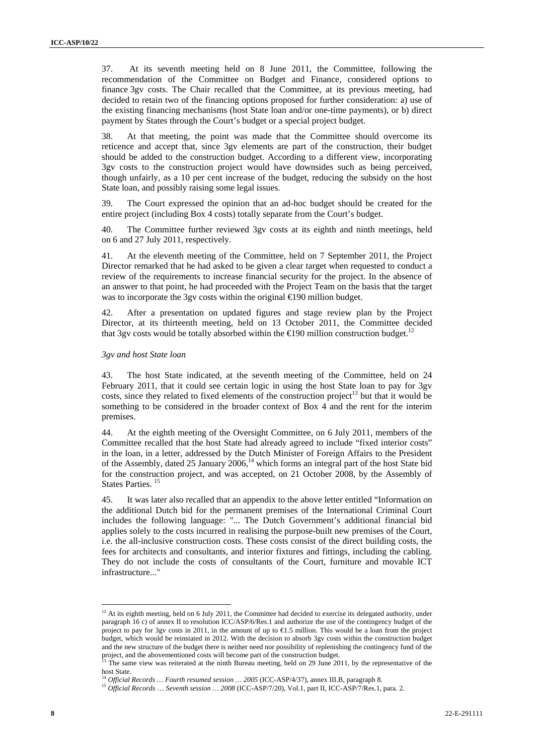37. At its seventh meeting held on 8 June 2011, the Committee, following the recommendation of the Committee on Budget and Finance, considered options to finance 3gv costs. The Chair recalled that the Committee, at its previous meeting, had decided to retain two of the financing options proposed for further consideration: a) use of the existing financing mechanisms (host State loan and/or one-time payments), or b) direct payment by States through the Court's budget or a special project budget.

38. At that meeting, the point was made that the Committee should overcome its reticence and accept that, since 3gv elements are part of the construction, their budget should be added to the construction budget. According to a different view, incorporating 3gv costs to the construction project would have downsides such as being perceived, though unfairly, as a 10 per cent increase of the budget, reducing the subsidy on the host State loan, and possibly raising some legal issues.

39. The Court expressed the opinion that an ad-hoc budget should be created for the entire project (including Box 4 costs) totally separate from the Court's budget.

40. The Committee further reviewed 3gv costs at its eighth and ninth meetings, held on 6 and 27 July 2011, respectively.

41. At the eleventh meeting of the Committee, held on 7 September 2011, the Project Director remarked that he had asked to be given a clear target when requested to conduct a review of the requirements to increase financial security for the project. In the absence of an answer to that point, he had proceeded with the Project Team on the basis that the target was to incorporate the 3gv costs within the original €190 million budget.

42. After a presentation on updated figures and stage review plan by the Project Director, at its thirteenth meeting, held on 13 October 2011, the Committee decided that 3gv costs would be totally absorbed within the  $\epsilon$ 190 million construction budget.<sup>12</sup>

#### *3gv and host State loan*

43. The host State indicated, at the seventh meeting of the Committee, held on 24 February 2011, that it could see certain logic in using the host State loan to pay for 3gv costs, since they related to fixed elements of the construction project<sup>13</sup> but that it would be something to be considered in the broader context of Box 4 and the rent for the interim premises.

44. At the eighth meeting of the Oversight Committee, on 6 July 2011, members of the Committee recalled that the host State had already agreed to include "fixed interior costs" in the loan, in a letter, addressed by the Dutch Minister of Foreign Affairs to the President of the Assembly, dated 25 January 2006,<sup>14</sup> which forms an integral part of the host State bid for the construction project, and was accepted, on 21 October 2008, by the Assembly of States Parties.<sup>15</sup>

45. It was later also recalled that an appendix to the above letter entitled "Information on the additional Dutch bid for the permanent premises of the International Criminal Court includes the following language: "... The Dutch Government's additional financial bid applies solely to the costs incurred in realising the purpose-built new premises of the Court, i.e. the all-inclusive construction costs. These costs consist of the direct building costs, the fees for architects and consultants, and interior fixtures and fittings, including the cabling*.*  They do not include the costs of consultants of the Court, furniture and movable ICT infrastructure..."

 $12$  At its eighth meeting, held on 6 July 2011, the Committee had decided to exercise its delegated authority, under paragraph 16 c) of annex II to resolution ICC/ASP/6/Res.1 and authorize the use of the contingency budget of the project to pay for 3gv costs in 2011, in the amount of up to €1.5 million. This would be a loan from the project budget, which would be reinstated in 2012. With the decision to absorb 3gv costs within the construction budget and the new structure of the budget there is neither need nor possibility of replenishing the contingency fund of the project, and the abovementioned costs will become part of the construction budget.

The same view was reiterated at the ninth Bureau meeting, held on 29 June 2011, by the representative of the host State.<br><sup>14</sup> Official Records ... Fourth resumed session ... 2005 (ICC-ASP/4/37), annex III.B, paragraph 8.

<sup>&</sup>lt;sup>15</sup> Official Records ... Seventh session ... 2008 (ICC-ASP/7/20), Vol.1, part II, ICC-ASP/7/Res.1, para. 2.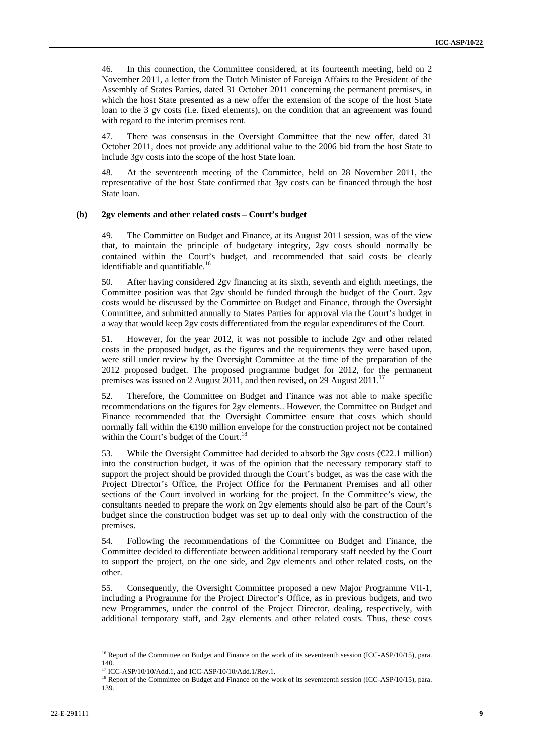46. In this connection, the Committee considered, at its fourteenth meeting, held on 2 November 2011, a letter from the Dutch Minister of Foreign Affairs to the President of the Assembly of States Parties, dated 31 October 2011 concerning the permanent premises, in which the host State presented as a new offer the extension of the scope of the host State loan to the 3 gv costs (i.e. fixed elements), on the condition that an agreement was found with regard to the interim premises rent.

47. There was consensus in the Oversight Committee that the new offer, dated 31 October 2011, does not provide any additional value to the 2006 bid from the host State to include 3gv costs into the scope of the host State loan.

48. At the seventeenth meeting of the Committee, held on 28 November 2011, the representative of the host State confirmed that 3gv costs can be financed through the host State loan.

#### **(b) 2gv elements and other related costs – Court's budget**

49. The Committee on Budget and Finance, at its August 2011 session, was of the view that, to maintain the principle of budgetary integrity, 2gv costs should normally be contained within the Court's budget, and recommended that said costs be clearly identifiable and quantifiable.<sup>16</sup>

50. After having considered 2gv financing at its sixth, seventh and eighth meetings, the Committee position was that 2gv should be funded through the budget of the Court. 2gv costs would be discussed by the Committee on Budget and Finance, through the Oversight Committee, and submitted annually to States Parties for approval via the Court's budget in a way that would keep 2gv costs differentiated from the regular expenditures of the Court.

51. However, for the year 2012, it was not possible to include 2gv and other related costs in the proposed budget, as the figures and the requirements they were based upon, were still under review by the Oversight Committee at the time of the preparation of the 2012 proposed budget. The proposed programme budget for 2012, for the permanent premises was issued on 2 August 2011, and then revised, on 29 August  $2011$ .<sup>17</sup>

52. Therefore, the Committee on Budget and Finance was not able to make specific recommendations on the figures for 2gv elements.. However, the Committee on Budget and Finance recommended that the Oversight Committee ensure that costs which should normally fall within the €190 million envelope for the construction project not be contained within the Court's budget of the Court.<sup>18</sup>

53. While the Oversight Committee had decided to absorb the 3gv costs ( $\epsilon$ 22.1 million) into the construction budget, it was of the opinion that the necessary temporary staff to support the project should be provided through the Court's budget, as was the case with the Project Director's Office, the Project Office for the Permanent Premises and all other sections of the Court involved in working for the project. In the Committee's view, the consultants needed to prepare the work on 2gv elements should also be part of the Court's budget since the construction budget was set up to deal only with the construction of the premises.

54. Following the recommendations of the Committee on Budget and Finance, the Committee decided to differentiate between additional temporary staff needed by the Court to support the project, on the one side, and 2gv elements and other related costs, on the other.

55. Consequently, the Oversight Committee proposed a new Major Programme VII-1, including a Programme for the Project Director's Office, as in previous budgets, and two new Programmes, under the control of the Project Director, dealing, respectively, with additional temporary staff, and 2gv elements and other related costs. Thus, these costs

<sup>&</sup>lt;sup>16</sup> Report of the Committee on Budget and Finance on the work of its seventeenth session (ICC-ASP/10/15), para. 140.<br><sup>17</sup> ICC-ASP/10/10/Add.1, and ICC-ASP/10/10/Add.1/Rev.1.

<sup>&</sup>lt;sup>18</sup> Report of the Committee on Budget and Finance on the work of its seventeenth session (ICC-ASP/10/15), para. 139.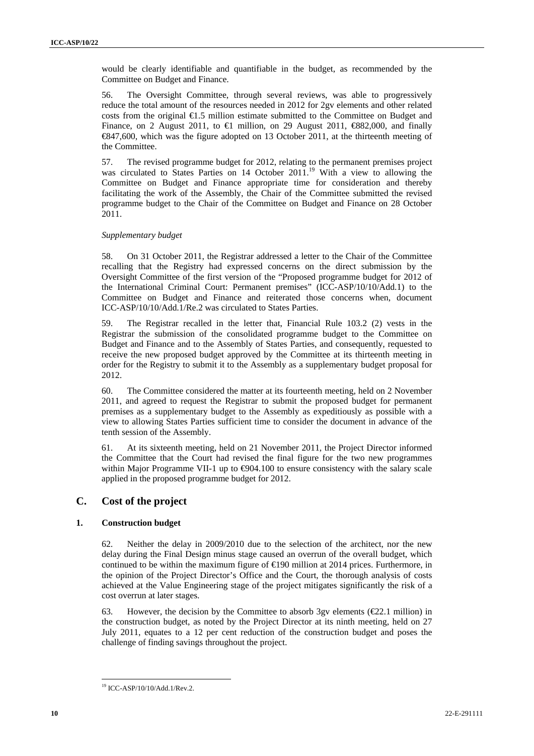would be clearly identifiable and quantifiable in the budget, as recommended by the Committee on Budget and Finance.

56. The Oversight Committee, through several reviews, was able to progressively reduce the total amount of the resources needed in 2012 for 2gv elements and other related costs from the original  $\bigoplus$ .5 million estimate submitted to the Committee on Budget and Finance, on 2 August 2011, to  $\in$  million, on 29 August 2011,  $\in$ 882,000, and finally €847,600, which was the figure adopted on 13 October 2011, at the thirteenth meeting of the Committee.

57. The revised programme budget for 2012, relating to the permanent premises project was circulated to States Parties on 14 October 2011.<sup>19</sup> With a view to allowing the Committee on Budget and Finance appropriate time for consideration and thereby facilitating the work of the Assembly, the Chair of the Committee submitted the revised programme budget to the Chair of the Committee on Budget and Finance on 28 October 2011.

#### *Supplementary budget*

58. On 31 October 2011, the Registrar addressed a letter to the Chair of the Committee recalling that the Registry had expressed concerns on the direct submission by the Oversight Committee of the first version of the "Proposed programme budget for 2012 of the International Criminal Court: Permanent premises" (ICC-ASP/10/10/Add.1) to the Committee on Budget and Finance and reiterated those concerns when, document ICC-ASP/10/10/Add.1/Re.2 was circulated to States Parties.

59. The Registrar recalled in the letter that, Financial Rule 103.2 (2) vests in the Registrar the submission of the consolidated programme budget to the Committee on Budget and Finance and to the Assembly of States Parties, and consequently, requested to receive the new proposed budget approved by the Committee at its thirteenth meeting in order for the Registry to submit it to the Assembly as a supplementary budget proposal for 2012.

60. The Committee considered the matter at its fourteenth meeting, held on 2 November 2011, and agreed to request the Registrar to submit the proposed budget for permanent premises as a supplementary budget to the Assembly as expeditiously as possible with a view to allowing States Parties sufficient time to consider the document in advance of the tenth session of the Assembly.

61. At its sixteenth meeting, held on 21 November 2011, the Project Director informed the Committee that the Court had revised the final figure for the two new programmes within Major Programme VII-1 up to  $\bigoplus 04.100$  to ensure consistency with the salary scale applied in the proposed programme budget for 2012.

### **C. Cost of the project**

#### **1. Construction budget**

62. Neither the delay in 2009/2010 due to the selection of the architect, nor the new delay during the Final Design minus stage caused an overrun of the overall budget, which continued to be within the maximum figure of  $\epsilon$ 190 million at 2014 prices. Furthermore, in the opinion of the Project Director's Office and the Court, the thorough analysis of costs achieved at the Value Engineering stage of the project mitigates significantly the risk of a cost overrun at later stages.

63. However, the decision by the Committee to absorb 3gv elements ( $E$ 2.1 million) in the construction budget, as noted by the Project Director at its ninth meeting, held on 27 July 2011, equates to a 12 per cent reduction of the construction budget and poses the challenge of finding savings throughout the project.

 19 ICC-ASP/10/10/Add.1/Rev.2.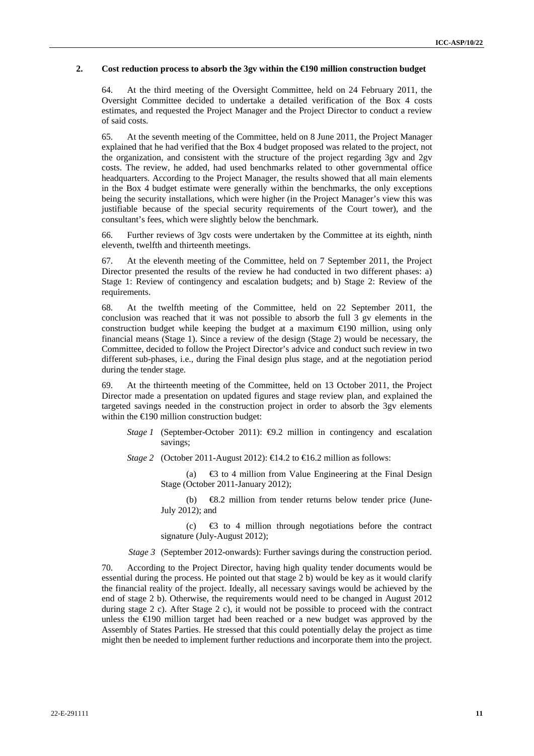#### **2. Cost reduction process to absorb the 3gv within the €190 million construction budget**

64. At the third meeting of the Oversight Committee, held on 24 February 2011, the Oversight Committee decided to undertake a detailed verification of the Box 4 costs estimates, and requested the Project Manager and the Project Director to conduct a review of said costs.

65. At the seventh meeting of the Committee, held on 8 June 2011, the Project Manager explained that he had verified that the Box 4 budget proposed was related to the project, not the organization, and consistent with the structure of the project regarding 3gv and 2gv costs. The review, he added, had used benchmarks related to other governmental office headquarters. According to the Project Manager, the results showed that all main elements in the Box 4 budget estimate were generally within the benchmarks, the only exceptions being the security installations, which were higher (in the Project Manager's view this was justifiable because of the special security requirements of the Court tower), and the consultant's fees, which were slightly below the benchmark.

66. Further reviews of 3gv costs were undertaken by the Committee at its eighth, ninth eleventh, twelfth and thirteenth meetings.

67. At the eleventh meeting of the Committee, held on 7 September 2011, the Project Director presented the results of the review he had conducted in two different phases: a) Stage 1: Review of contingency and escalation budgets; and b) Stage 2: Review of the requirements.

68. At the twelfth meeting of the Committee, held on 22 September 2011, the conclusion was reached that it was not possible to absorb the full 3 gv elements in the construction budget while keeping the budget at a maximum  $\epsilon$ 190 million, using only financial means (Stage 1). Since a review of the design (Stage 2) would be necessary, the Committee, decided to follow the Project Director's advice and conduct such review in two different sub-phases, i.e., during the Final design plus stage, and at the negotiation period during the tender stage.

69. At the thirteenth meeting of the Committee, held on 13 October 2011, the Project Director made a presentation on updated figures and stage review plan, and explained the targeted savings needed in the construction project in order to absorb the 3gv elements within the €190 million construction budget:

- *Stage 1* (September-October 2011):  $\bigoplus$ .2 million in contingency and escalation savings;
- *Stage 2* (October 2011-August 2012):  $\bigoplus$  4.2 to  $\bigoplus$  6.2 million as follows:

(a)  $\oplus$  to 4 million from Value Engineering at the Final Design Stage (October 2011-January 2012);

(b) €8.2 million from tender returns below tender price (June-July 2012); and

(c)  $\Theta$  to 4 million through negotiations before the contract signature (July-August 2012);

*Stage 3* (September 2012-onwards): Further savings during the construction period.

70. According to the Project Director, having high quality tender documents would be essential during the process. He pointed out that stage 2 b) would be key as it would clarify the financial reality of the project. Ideally, all necessary savings would be achieved by the end of stage 2 b). Otherwise, the requirements would need to be changed in August 2012 during stage 2 c). After Stage 2 c), it would not be possible to proceed with the contract unless the  $E(90)$  million target had been reached or a new budget was approved by the Assembly of States Parties. He stressed that this could potentially delay the project as time might then be needed to implement further reductions and incorporate them into the project.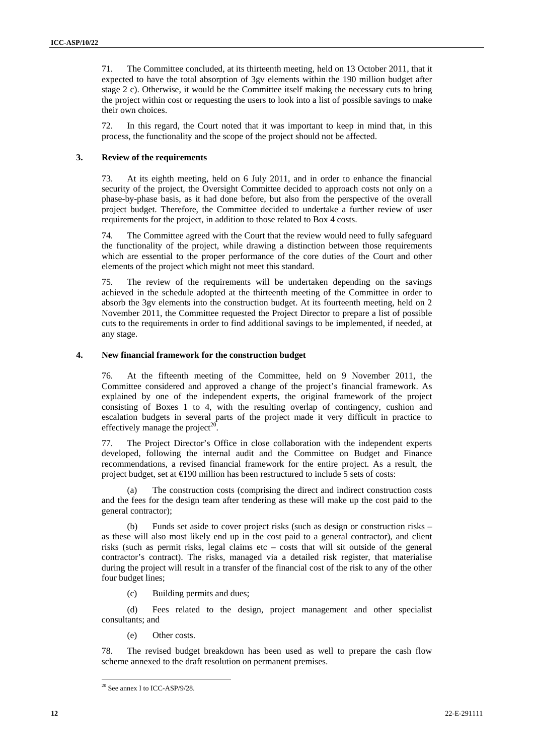71. The Committee concluded, at its thirteenth meeting, held on 13 October 2011, that it expected to have the total absorption of 3gv elements within the 190 million budget after stage 2 c). Otherwise, it would be the Committee itself making the necessary cuts to bring the project within cost or requesting the users to look into a list of possible savings to make their own choices.

72. In this regard, the Court noted that it was important to keep in mind that, in this process, the functionality and the scope of the project should not be affected.

#### **3. Review of the requirements**

73. At its eighth meeting, held on 6 July 2011, and in order to enhance the financial security of the project, the Oversight Committee decided to approach costs not only on a phase-by-phase basis, as it had done before, but also from the perspective of the overall project budget. Therefore, the Committee decided to undertake a further review of user requirements for the project, in addition to those related to Box 4 costs.

74. The Committee agreed with the Court that the review would need to fully safeguard the functionality of the project, while drawing a distinction between those requirements which are essential to the proper performance of the core duties of the Court and other elements of the project which might not meet this standard.

75. The review of the requirements will be undertaken depending on the savings achieved in the schedule adopted at the thirteenth meeting of the Committee in order to absorb the 3gv elements into the construction budget. At its fourteenth meeting, held on 2 November 2011, the Committee requested the Project Director to prepare a list of possible cuts to the requirements in order to find additional savings to be implemented, if needed, at any stage.

#### **4. New financial framework for the construction budget**

76. At the fifteenth meeting of the Committee, held on 9 November 2011, the Committee considered and approved a change of the project's financial framework. As explained by one of the independent experts, the original framework of the project consisting of Boxes 1 to 4, with the resulting overlap of contingency, cushion and escalation budgets in several parts of the project made it very difficult in practice to effectively manage the project<sup>20</sup>.

77. The Project Director's Office in close collaboration with the independent experts developed, following the internal audit and the Committee on Budget and Finance recommendations, a revised financial framework for the entire project. As a result, the project budget, set at  $\bigoplus$ 90 million has been restructured to include 5 sets of costs:

(a) The construction costs (comprising the direct and indirect construction costs and the fees for the design team after tendering as these will make up the cost paid to the general contractor);

(b) Funds set aside to cover project risks (such as design or construction risks – as these will also most likely end up in the cost paid to a general contractor), and client risks (such as permit risks, legal claims etc  $-$  costs that will sit outside of the general contractor's contract). The risks, managed via a detailed risk register, that materialise during the project will result in a transfer of the financial cost of the risk to any of the other four budget lines;

(c) Building permits and dues;

(d) Fees related to the design, project management and other specialist consultants; and

(e) Other costs.

78. The revised budget breakdown has been used as well to prepare the cash flow scheme annexed to the draft resolution on permanent premises.

<sup>20</sup> See annex I to ICC-ASP/9/28.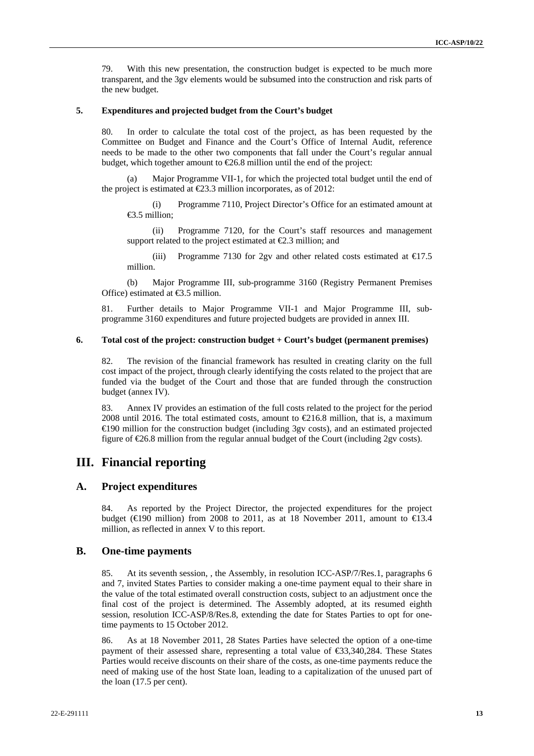79. With this new presentation, the construction budget is expected to be much more transparent, and the 3gv elements would be subsumed into the construction and risk parts of the new budget.

#### **5. Expenditures and projected budget from the Court's budget**

80. In order to calculate the total cost of the project, as has been requested by the Committee on Budget and Finance and the Court's Office of Internal Audit, reference needs to be made to the other two components that fall under the Court's regular annual budget, which together amount to  $E$ 6.8 million until the end of the project:

Major Programme VII-1, for which the projected total budget until the end of the project is estimated at  $\epsilon$ 23.3 million incorporates, as of 2012:

(i) Programme 7110, Project Director's Office for an estimated amount at €3.5 million;

(ii) Programme 7120, for the Court's staff resources and management support related to the project estimated at  $\epsilon$ 2.3 million; and

(iii) Programme 7130 for 2gv and other related costs estimated at  $\text{ } \infty 1.5$ million.

(b) Major Programme III, sub-programme 3160 (Registry Permanent Premises Office) estimated at €3.5 million.

81. Further details to Major Programme VII-1 and Major Programme III, subprogramme 3160 expenditures and future projected budgets are provided in annex III.

#### **6. Total cost of the project: construction budget + Court's budget (permanent premises)**

82. The revision of the financial framework has resulted in creating clarity on the full cost impact of the project, through clearly identifying the costs related to the project that are funded via the budget of the Court and those that are funded through the construction budget (annex IV).

83. Annex IV provides an estimation of the full costs related to the project for the period 2008 until 2016. The total estimated costs, amount to  $E$ 16.8 million, that is, a maximum €190 million for the construction budget (including 3gv costs), and an estimated projected figure of  $E$ 6.8 million from the regular annual budget of the Court (including 2gy costs).

### **III. Financial reporting**

#### **A. Project expenditures**

84. As reported by the Project Director, the projected expenditures for the project budget ( $\in$ 190 million) from 2008 to 2011, as at 18 November 2011, amount to  $\in$ 13.4 million, as reflected in annex V to this report.

#### **B. One-time payments**

85. At its seventh session, , the Assembly, in resolution ICC-ASP/7/Res.1, paragraphs 6 and 7, invited States Parties to consider making a one-time payment equal to their share in the value of the total estimated overall construction costs, subject to an adjustment once the final cost of the project is determined. The Assembly adopted, at its resumed eighth session, resolution ICC-ASP/8/Res.8, extending the date for States Parties to opt for onetime payments to 15 October 2012.

86. As at 18 November 2011, 28 States Parties have selected the option of a one-time payment of their assessed share, representing a total value of €33,340,284. These States Parties would receive discounts on their share of the costs, as one-time payments reduce the need of making use of the host State loan, leading to a capitalization of the unused part of the loan (17.5 per cent).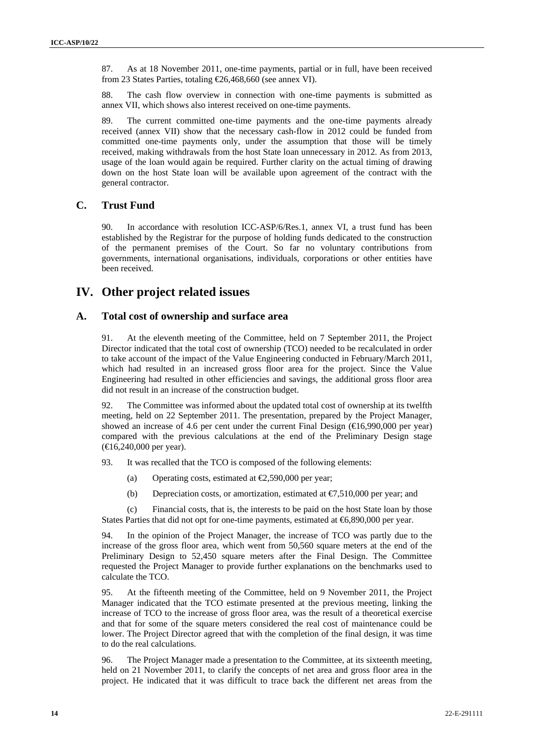87. As at 18 November 2011, one-time payments, partial or in full, have been received from 23 States Parties, totaling €26,468,660 (see annex VI).

88. The cash flow overview in connection with one-time payments is submitted as annex VII, which shows also interest received on one-time payments.

89. The current committed one-time payments and the one-time payments already received (annex VII) show that the necessary cash-flow in 2012 could be funded from committed one-time payments only, under the assumption that those will be timely received, making withdrawals from the host State loan unnecessary in 2012. As from 2013, usage of the loan would again be required. Further clarity on the actual timing of drawing down on the host State loan will be available upon agreement of the contract with the general contractor.

#### **C. Trust Fund**

90. In accordance with resolution ICC-ASP/6/Res.1, annex VI, a trust fund has been established by the Registrar for the purpose of holding funds dedicated to the construction of the permanent premises of the Court. So far no voluntary contributions from governments, international organisations, individuals, corporations or other entities have been received.

### **IV. Other project related issues**

#### **A. Total cost of ownership and surface area**

91. At the eleventh meeting of the Committee, held on 7 September 2011, the Project Director indicated that the total cost of ownership (TCO) needed to be recalculated in order to take account of the impact of the Value Engineering conducted in February/March 2011, which had resulted in an increased gross floor area for the project. Since the Value Engineering had resulted in other efficiencies and savings, the additional gross floor area did not result in an increase of the construction budget.

92. The Committee was informed about the updated total cost of ownership at its twelfth meeting, held on 22 September 2011. The presentation, prepared by the Project Manager, showed an increase of 4.6 per cent under the current Final Design ( $\in \{6,990,000\}$  per year) compared with the previous calculations at the end of the Preliminary Design stage (€16,240,000 per year).

93. It was recalled that the TCO is composed of the following elements:

- (a) Operating costs, estimated at  $\epsilon$ 2,590,000 per year;
- (b) Depreciation costs, or amortization, estimated at  $\epsilon$ 7,510,000 per year; and

(c) Financial costs, that is, the interests to be paid on the host State loan by those States Parties that did not opt for one-time payments, estimated at  $6,890,000$  per year.

94. In the opinion of the Project Manager, the increase of TCO was partly due to the increase of the gross floor area, which went from 50,560 square meters at the end of the Preliminary Design to 52,450 square meters after the Final Design. The Committee requested the Project Manager to provide further explanations on the benchmarks used to calculate the TCO.

95. At the fifteenth meeting of the Committee, held on 9 November 2011, the Project Manager indicated that the TCO estimate presented at the previous meeting, linking the increase of TCO to the increase of gross floor area, was the result of a theoretical exercise and that for some of the square meters considered the real cost of maintenance could be lower. The Project Director agreed that with the completion of the final design, it was time to do the real calculations.

96. The Project Manager made a presentation to the Committee, at its sixteenth meeting, held on 21 November 2011, to clarify the concepts of net area and gross floor area in the project. He indicated that it was difficult to trace back the different net areas from the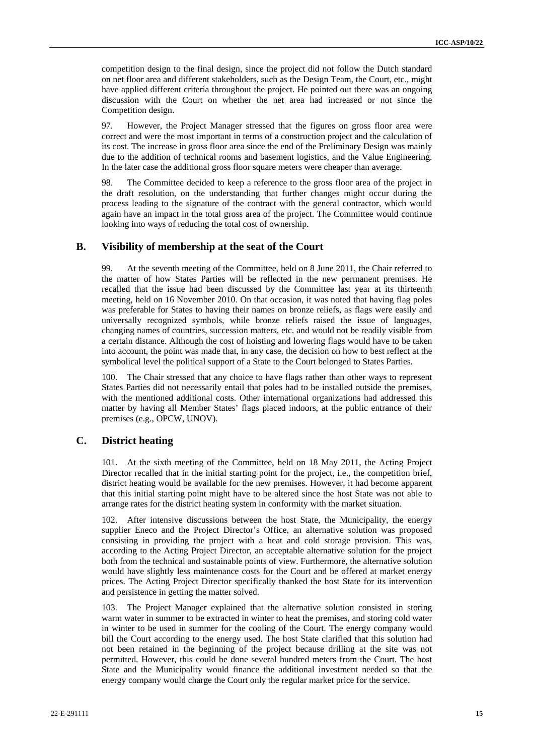competition design to the final design, since the project did not follow the Dutch standard on net floor area and different stakeholders, such as the Design Team, the Court, etc., might have applied different criteria throughout the project. He pointed out there was an ongoing discussion with the Court on whether the net area had increased or not since the Competition design.

97. However, the Project Manager stressed that the figures on gross floor area were correct and were the most important in terms of a construction project and the calculation of its cost. The increase in gross floor area since the end of the Preliminary Design was mainly due to the addition of technical rooms and basement logistics, and the Value Engineering. In the later case the additional gross floor square meters were cheaper than average.

98. The Committee decided to keep a reference to the gross floor area of the project in the draft resolution, on the understanding that further changes might occur during the process leading to the signature of the contract with the general contractor, which would again have an impact in the total gross area of the project. The Committee would continue looking into ways of reducing the total cost of ownership.

#### **B. Visibility of membership at the seat of the Court**

99. At the seventh meeting of the Committee, held on 8 June 2011, the Chair referred to the matter of how States Parties will be reflected in the new permanent premises. He recalled that the issue had been discussed by the Committee last year at its thirteenth meeting, held on 16 November 2010. On that occasion, it was noted that having flag poles was preferable for States to having their names on bronze reliefs, as flags were easily and universally recognized symbols, while bronze reliefs raised the issue of languages, changing names of countries, succession matters, etc. and would not be readily visible from a certain distance. Although the cost of hoisting and lowering flags would have to be taken into account, the point was made that, in any case, the decision on how to best reflect at the symbolical level the political support of a State to the Court belonged to States Parties.

100. The Chair stressed that any choice to have flags rather than other ways to represent States Parties did not necessarily entail that poles had to be installed outside the premises, with the mentioned additional costs. Other international organizations had addressed this matter by having all Member States' flags placed indoors, at the public entrance of their premises (e.g., OPCW, UNOV).

#### **C. District heating**

101. At the sixth meeting of the Committee, held on 18 May 2011, the Acting Project Director recalled that in the initial starting point for the project, i.e., the competition brief, district heating would be available for the new premises. However, it had become apparent that this initial starting point might have to be altered since the host State was not able to arrange rates for the district heating system in conformity with the market situation.

102. After intensive discussions between the host State, the Municipality, the energy supplier Eneco and the Project Director's Office, an alternative solution was proposed consisting in providing the project with a heat and cold storage provision. This was, according to the Acting Project Director, an acceptable alternative solution for the project both from the technical and sustainable points of view. Furthermore, the alternative solution would have slightly less maintenance costs for the Court and be offered at market energy prices. The Acting Project Director specifically thanked the host State for its intervention and persistence in getting the matter solved.

103. The Project Manager explained that the alternative solution consisted in storing warm water in summer to be extracted in winter to heat the premises, and storing cold water in winter to be used in summer for the cooling of the Court. The energy company would bill the Court according to the energy used. The host State clarified that this solution had not been retained in the beginning of the project because drilling at the site was not permitted. However, this could be done several hundred meters from the Court. The host State and the Municipality would finance the additional investment needed so that the energy company would charge the Court only the regular market price for the service.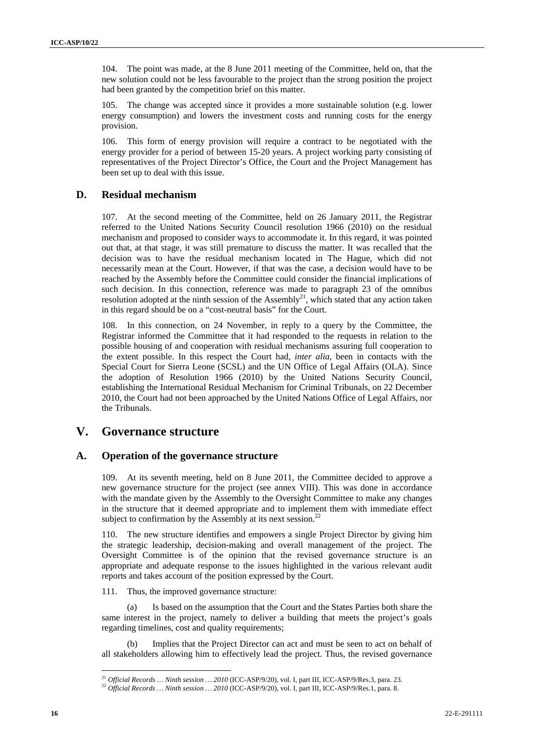104. The point was made, at the 8 June 2011 meeting of the Committee, held on, that the new solution could not be less favourable to the project than the strong position the project had been granted by the competition brief on this matter.

105. The change was accepted since it provides a more sustainable solution (e.g. lower energy consumption) and lowers the investment costs and running costs for the energy provision.

106. This form of energy provision will require a contract to be negotiated with the energy provider for a period of between 15-20 years. A project working party consisting of representatives of the Project Director's Office, the Court and the Project Management has been set up to deal with this issue.

#### **D. Residual mechanism**

107. At the second meeting of the Committee, held on 26 January 2011, the Registrar referred to the United Nations Security Council resolution 1966 (2010) on the residual mechanism and proposed to consider ways to accommodate it. In this regard, it was pointed out that, at that stage, it was still premature to discuss the matter. It was recalled that the decision was to have the residual mechanism located in The Hague, which did not necessarily mean at the Court. However, if that was the case, a decision would have to be reached by the Assembly before the Committee could consider the financial implications of such decision. In this connection, reference was made to paragraph 23 of the omnibus resolution adopted at the ninth session of the Assembly<sup>21</sup>, which stated that any action taken in this regard should be on a "cost-neutral basis" for the Court.

108. In this connection, on 24 November, in reply to a query by the Committee, the Registrar informed the Committee that it had responded to the requests in relation to the possible housing of and cooperation with residual mechanisms assuring full cooperation to the extent possible. In this respect the Court had, *inter alia*, been in contacts with the Special Court for Sierra Leone (SCSL) and the UN Office of Legal Affairs (OLA). Since the adoption of Resolution 1966 (2010) by the United Nations Security Council, establishing the International Residual Mechanism for Criminal Tribunals, on 22 December 2010, the Court had not been approached by the United Nations Office of Legal Affairs, nor the Tribunals.

### **V. Governance structure**

#### **A. Operation of the governance structure**

109. At its seventh meeting, held on 8 June 2011, the Committee decided to approve a new governance structure for the project (see annex VIII). This was done in accordance with the mandate given by the Assembly to the Oversight Committee to make any changes in the structure that it deemed appropriate and to implement them with immediate effect subject to confirmation by the Assembly at its next session.<sup>22</sup>

110. The new structure identifies and empowers a single Project Director by giving him the strategic leadership, decision-making and overall management of the project. The Oversight Committee is of the opinion that the revised governance structure is an appropriate and adequate response to the issues highlighted in the various relevant audit reports and takes account of the position expressed by the Court.

111. Thus, the improved governance structure:

(a) Is based on the assumption that the Court and the States Parties both share the same interest in the project, namely to deliver a building that meets the project's goals regarding timelines, cost and quality requirements;

Implies that the Project Director can act and must be seen to act on behalf of all stakeholders allowing him to effectively lead the project. Thus, the revised governance

<sup>&</sup>lt;sup>21</sup> Official Records ... Ninth session ... 2010 (ICC-ASP/9/20), vol. I, part III, ICC-ASP/9/Res.3, para. 23.

<sup>&</sup>lt;sup>22</sup> Official Records … Ninth session … 2010 (ICC-ASP/9/20), vol. I, part III, ICC-ASP/9/Res.1, para. 8.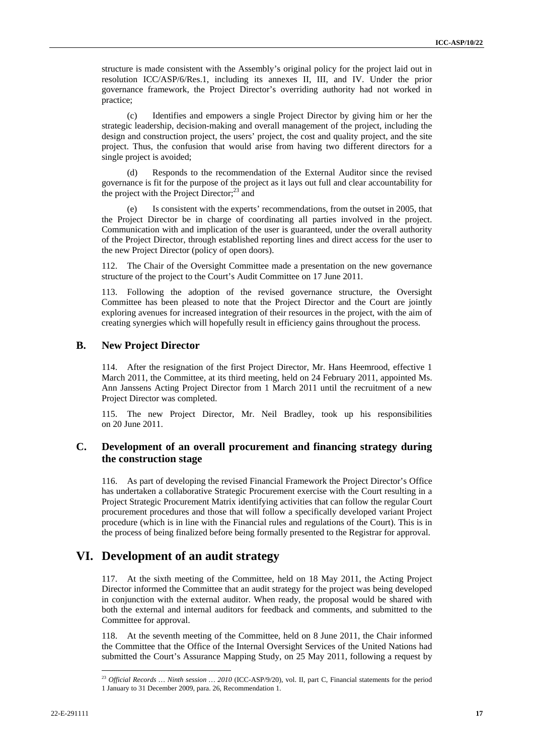structure is made consistent with the Assembly's original policy for the project laid out in resolution ICC/ASP/6/Res.1, including its annexes II, III, and IV. Under the prior governance framework, the Project Director's overriding authority had not worked in practice;

(c) Identifies and empowers a single Project Director by giving him or her the strategic leadership, decision-making and overall management of the project, including the design and construction project, the users' project, the cost and quality project, and the site project. Thus, the confusion that would arise from having two different directors for a single project is avoided;

(d) Responds to the recommendation of the External Auditor since the revised governance is fit for the purpose of the project as it lays out full and clear accountability for the project with the Project Director;<sup>23</sup> and

(e) Is consistent with the experts' recommendations, from the outset in 2005, that the Project Director be in charge of coordinating all parties involved in the project. Communication with and implication of the user is guaranteed, under the overall authority of the Project Director, through established reporting lines and direct access for the user to the new Project Director (policy of open doors).

112. The Chair of the Oversight Committee made a presentation on the new governance structure of the project to the Court's Audit Committee on 17 June 2011.

113. Following the adoption of the revised governance structure, the Oversight Committee has been pleased to note that the Project Director and the Court are jointly exploring avenues for increased integration of their resources in the project, with the aim of creating synergies which will hopefully result in efficiency gains throughout the process.

#### **B. New Project Director**

114. After the resignation of the first Project Director, Mr. Hans Heemrood, effective 1 March 2011, the Committee, at its third meeting, held on 24 February 2011, appointed Ms. Ann Janssens Acting Project Director from 1 March 2011 until the recruitment of a new Project Director was completed.

115. The new Project Director, Mr. Neil Bradley, took up his responsibilities on 20 June 2011.

### **C. Development of an overall procurement and financing strategy during the construction stage**

116. As part of developing the revised Financial Framework the Project Director's Office has undertaken a collaborative Strategic Procurement exercise with the Court resulting in a Project Strategic Procurement Matrix identifying activities that can follow the regular Court procurement procedures and those that will follow a specifically developed variant Project procedure (which is in line with the Financial rules and regulations of the Court). This is in the process of being finalized before being formally presented to the Registrar for approval.

### **VI. Development of an audit strategy**

117. At the sixth meeting of the Committee, held on 18 May 2011, the Acting Project Director informed the Committee that an audit strategy for the project was being developed in conjunction with the external auditor. When ready, the proposal would be shared with both the external and internal auditors for feedback and comments, and submitted to the Committee for approval.

118. At the seventh meeting of the Committee, held on 8 June 2011, the Chair informed the Committee that the Office of the Internal Oversight Services of the United Nations had submitted the Court's Assurance Mapping Study, on 25 May 2011, following a request by

<sup>&</sup>lt;sup>23</sup> Official Records ... Ninth session ... 2010 (ICC-ASP/9/20), vol. II, part C, Financial statements for the period 1 January to 31 December 2009, para. 26, Recommendation 1.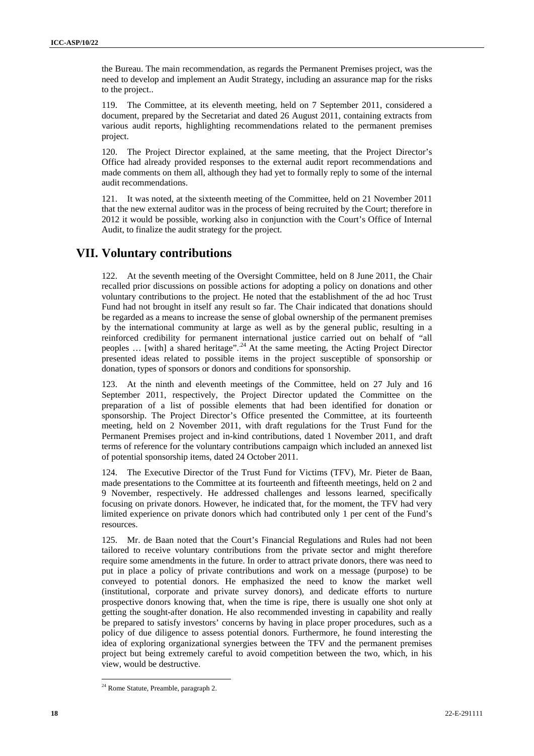the Bureau. The main recommendation, as regards the Permanent Premises project, was the need to develop and implement an Audit Strategy, including an assurance map for the risks to the project..

119. The Committee, at its eleventh meeting, held on 7 September 2011, considered a document, prepared by the Secretariat and dated 26 August 2011, containing extracts from various audit reports, highlighting recommendations related to the permanent premises project.

120. The Project Director explained, at the same meeting, that the Project Director's Office had already provided responses to the external audit report recommendations and made comments on them all, although they had yet to formally reply to some of the internal audit recommendations.

121. It was noted, at the sixteenth meeting of the Committee, held on 21 November 2011 that the new external auditor was in the process of being recruited by the Court; therefore in 2012 it would be possible, working also in conjunction with the Court's Office of Internal Audit, to finalize the audit strategy for the project.

### **VII. Voluntary contributions**

122. At the seventh meeting of the Oversight Committee, held on 8 June 2011, the Chair recalled prior discussions on possible actions for adopting a policy on donations and other voluntary contributions to the project. He noted that the establishment of the ad hoc Trust Fund had not brought in itself any result so far. The Chair indicated that donations should be regarded as a means to increase the sense of global ownership of the permanent premises by the international community at large as well as by the general public, resulting in a reinforced credibility for permanent international justice carried out on behalf of "all peoples … [with] a shared heritage"..24 At the same meeting, the Acting Project Director presented ideas related to possible items in the project susceptible of sponsorship or donation, types of sponsors or donors and conditions for sponsorship.

123. At the ninth and eleventh meetings of the Committee, held on 27 July and 16 September 2011, respectively, the Project Director updated the Committee on the preparation of a list of possible elements that had been identified for donation or sponsorship. The Project Director's Office presented the Committee, at its fourteenth meeting, held on 2 November 2011, with draft regulations for the Trust Fund for the Permanent Premises project and in-kind contributions, dated 1 November 2011, and draft terms of reference for the voluntary contributions campaign which included an annexed list of potential sponsorship items, dated 24 October 2011.

124. The Executive Director of the Trust Fund for Victims (TFV), Mr. Pieter de Baan, made presentations to the Committee at its fourteenth and fifteenth meetings, held on 2 and 9 November, respectively. He addressed challenges and lessons learned, specifically focusing on private donors. However, he indicated that, for the moment, the TFV had very limited experience on private donors which had contributed only 1 per cent of the Fund's resources.

125. Mr. de Baan noted that the Court's Financial Regulations and Rules had not been tailored to receive voluntary contributions from the private sector and might therefore require some amendments in the future. In order to attract private donors, there was need to put in place a policy of private contributions and work on a message (purpose) to be conveyed to potential donors. He emphasized the need to know the market well (institutional, corporate and private survey donors), and dedicate efforts to nurture prospective donors knowing that, when the time is ripe, there is usually one shot only at getting the sought-after donation. He also recommended investing in capability and really be prepared to satisfy investors' concerns by having in place proper procedures, such as a policy of due diligence to assess potential donors. Furthermore, he found interesting the idea of exploring organizational synergies between the TFV and the permanent premises project but being extremely careful to avoid competition between the two, which, in his view, would be destructive.

<sup>&</sup>lt;sup>24</sup> Rome Statute, Preamble, paragraph 2.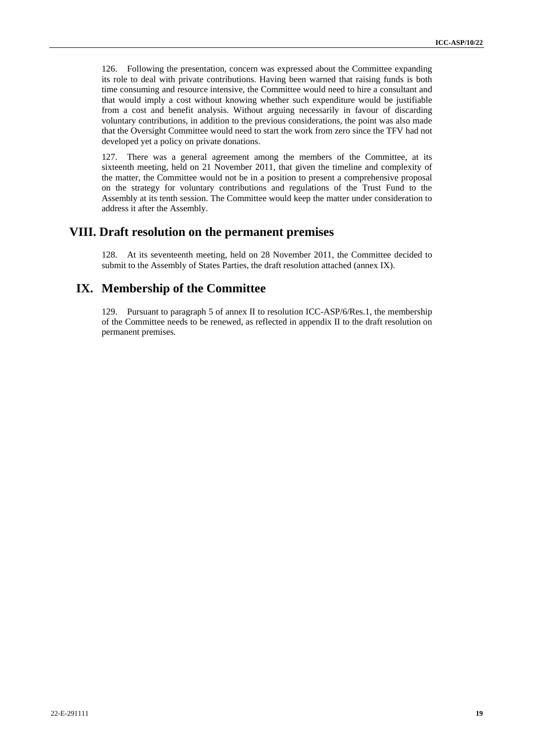126. Following the presentation, concern was expressed about the Committee expanding its role to deal with private contributions. Having been warned that raising funds is both time consuming and resource intensive, the Committee would need to hire a consultant and that would imply a cost without knowing whether such expenditure would be justifiable from a cost and benefit analysis. Without arguing necessarily in favour of discarding voluntary contributions, in addition to the previous considerations, the point was also made that the Oversight Committee would need to start the work from zero since the TFV had not developed yet a policy on private donations.

127. There was a general agreement among the members of the Committee, at its sixteenth meeting, held on 21 November 2011, that given the timeline and complexity of the matter, the Committee would not be in a position to present a comprehensive proposal on the strategy for voluntary contributions and regulations of the Trust Fund to the Assembly at its tenth session. The Committee would keep the matter under consideration to address it after the Assembly.

### **VIII. Draft resolution on the permanent premises**

128. At its seventeenth meeting, held on 28 November 2011, the Committee decided to submit to the Assembly of States Parties, the draft resolution attached (annex IX).

### **IX. Membership of the Committee**

129. Pursuant to paragraph 5 of annex II to resolution ICC-ASP/6/Res.1, the membership of the Committee needs to be renewed, as reflected in appendix II to the draft resolution on permanent premises.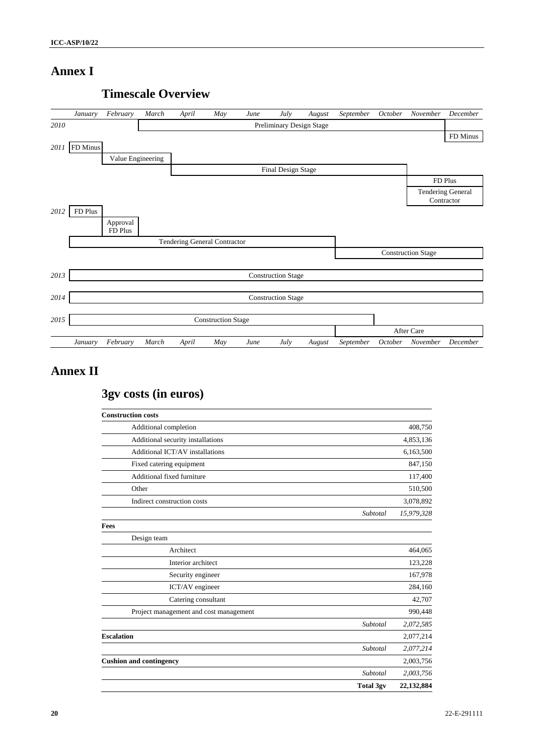### **Annex I**



### **Timescale Overview**

## **Annex II**

# **3gv costs (in euros)**

| <b>Construction costs</b>              |                  |            |
|----------------------------------------|------------------|------------|
| Additional completion                  |                  | 408,750    |
| Additional security installations      |                  | 4,853,136  |
| Additional ICT/AV installations        |                  | 6,163,500  |
| Fixed catering equipment               |                  | 847,150    |
| Additional fixed furniture             |                  | 117,400    |
| Other                                  |                  | 510,500    |
| Indirect construction costs            |                  | 3,078,892  |
|                                        | Subtotal         | 15,979,328 |
| Fees                                   |                  |            |
| Design team                            |                  |            |
| Architect                              |                  | 464,065    |
| Interior architect                     |                  | 123,228    |
| Security engineer                      |                  | 167,978    |
| ICT/AV engineer                        |                  | 284,160    |
| Catering consultant                    |                  | 42,707     |
| Project management and cost management |                  | 990,448    |
|                                        | Subtotal         | 2,072,585  |
| <b>Escalation</b>                      |                  | 2,077,214  |
|                                        | Subtotal         | 2,077,214  |
| <b>Cushion and contingency</b>         |                  | 2,003,756  |
|                                        | Subtotal         | 2,003,756  |
|                                        | <b>Total 3gv</b> | 22,132,884 |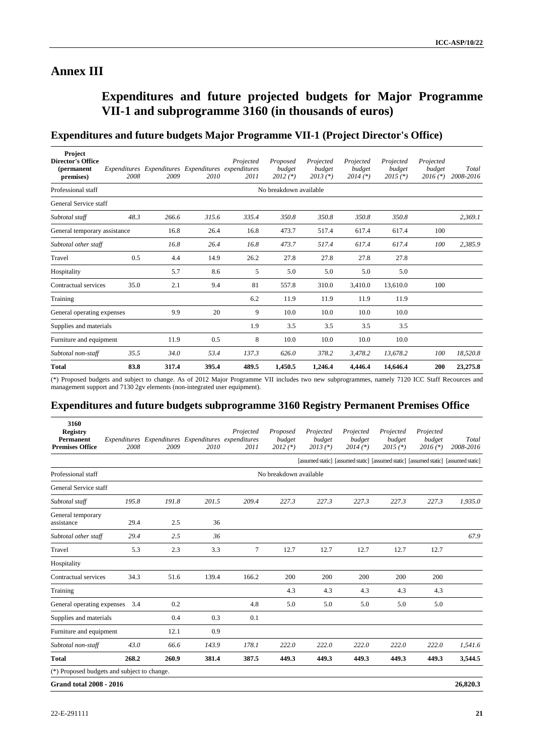### **Annex III**

# **Expenditures and future projected budgets for Major Programme VII-1 and subprogramme 3160 (in thousands of euros)**

### **Expenditures and future budgets Major Programme VII-1 (Project Director's Office)**

| Project<br><b>Director's Office</b><br><i>(permanent</i> )<br>premises) | 2008 | Expenditures Expenditures Expenditures expenditures<br>2009 | 2010  | Projected<br>2011 | Proposed<br>budget<br>$2012$ (*) | Projected<br>budget<br>$2013 (*)$ | Projected<br>budget<br>$2014$ (*) | Projected<br>budget<br>$2015$ (*) | Projected<br>budget<br>$2016$ (*) | Total<br>2008-2016 |
|-------------------------------------------------------------------------|------|-------------------------------------------------------------|-------|-------------------|----------------------------------|-----------------------------------|-----------------------------------|-----------------------------------|-----------------------------------|--------------------|
| Professional staff                                                      |      |                                                             |       |                   | No breakdown available           |                                   |                                   |                                   |                                   |                    |
| General Service staff                                                   |      |                                                             |       |                   |                                  |                                   |                                   |                                   |                                   |                    |
| Subtotal staff                                                          | 48.3 | 266.6                                                       | 315.6 | 335.4             | 350.8                            | 350.8                             | 350.8                             | 350.8                             |                                   | 2,369.1            |
| General temporary assistance                                            |      | 16.8                                                        | 26.4  | 16.8              | 473.7                            | 517.4                             | 617.4                             | 617.4                             | 100                               |                    |
| Subtotal other staff                                                    |      | 16.8                                                        | 26.4  | 16.8              | 473.7                            | 517.4                             | 617.4                             | 617.4                             | 100                               | 2,385.9            |
| Travel                                                                  | 0.5  | 4.4                                                         | 14.9  | 26.2              | 27.8                             | 27.8                              | 27.8                              | 27.8                              |                                   |                    |
| Hospitality                                                             |      | 5.7                                                         | 8.6   | 5                 | 5.0                              | 5.0                               | 5.0                               | 5.0                               |                                   |                    |
| Contractual services                                                    | 35.0 | 2.1                                                         | 9.4   | 81                | 557.8                            | 310.0                             | 3,410.0                           | 13,610.0                          | 100                               |                    |
| Training                                                                |      |                                                             |       | 6.2               | 11.9                             | 11.9                              | 11.9                              | 11.9                              |                                   |                    |
| General operating expenses                                              |      | 9.9                                                         | 20    | 9                 | 10.0                             | 10.0                              | 10.0                              | 10.0                              |                                   |                    |
| Supplies and materials                                                  |      |                                                             |       | 1.9               | 3.5                              | 3.5                               | 3.5                               | 3.5                               |                                   |                    |
| Furniture and equipment                                                 |      | 11.9                                                        | 0.5   | 8                 | 10.0                             | 10.0                              | 10.0                              | 10.0                              |                                   |                    |
| Subtotal non-staff                                                      | 35.5 | 34.0                                                        | 53.4  | 137.3             | 626.0                            | 378.2                             | 3,478.2                           | 13,678.2                          | 100                               | 18,520.8           |
| <b>Total</b>                                                            | 83.8 | 317.4                                                       | 395.4 | 489.5             | 1,450.5                          | 1,246.4                           | 4,446.4                           | 14,646.4                          | 200                               | 23,275.8           |

(\*) Proposed budgets and subject to change. As of 2012 Major Programme VII includes two new subprogrammes, namely 7120 ICC Staff Recources and management support and 7130 2gv elements (non-integrated user equipment).

### **Expenditures and future budgets subprogramme 3160 Registry Permanent Premises Office**

| 3160<br><b>Registry</b><br><b>Permanent</b><br><b>Premises Office</b> | 2008  | Expenditures Expenditures Expenditures expenditures<br>2009 | 2010  | Projected<br>2011 | Proposed<br>budget<br>$2012$ (*) | Projected<br>budget<br>$2013$ (*) | Projected<br>budget<br>$2014$ (*) | Projected<br>budget<br>$2015$ (*)                                                    | Projected<br>budget<br>$2016$ (*) | Total<br>2008-2016 |
|-----------------------------------------------------------------------|-------|-------------------------------------------------------------|-------|-------------------|----------------------------------|-----------------------------------|-----------------------------------|--------------------------------------------------------------------------------------|-----------------------------------|--------------------|
|                                                                       |       |                                                             |       |                   |                                  |                                   |                                   | [assumed static] [assumed static] [assumed static] [assumed static] [assumed static] |                                   |                    |
| Professional staff                                                    |       |                                                             |       |                   | No breakdown available           |                                   |                                   |                                                                                      |                                   |                    |
| General Service staff                                                 |       |                                                             |       |                   |                                  |                                   |                                   |                                                                                      |                                   |                    |
| Subtotal staff                                                        | 195.8 | 191.8                                                       | 201.5 | 209.4             | 227.3                            | 227.3                             | 227.3                             | 227.3                                                                                | 227.3                             | 1,935.0            |
| General temporary<br>assistance                                       | 29.4  | 2.5                                                         | 36    |                   |                                  |                                   |                                   |                                                                                      |                                   |                    |
| Subtotal other staff                                                  | 29.4  | 2.5                                                         | 36    |                   |                                  |                                   |                                   |                                                                                      |                                   | 67.9               |
| Travel                                                                | 5.3   | 2.3                                                         | 3.3   | 7                 | 12.7                             | 12.7                              | 12.7                              | 12.7                                                                                 | 12.7                              |                    |
| Hospitality                                                           |       |                                                             |       |                   |                                  |                                   |                                   |                                                                                      |                                   |                    |
| Contractual services                                                  | 34.3  | 51.6                                                        | 139.4 | 166.2             | 200                              | 200                               | 200                               | 200                                                                                  | 200                               |                    |
| Training                                                              |       |                                                             |       |                   | 4.3                              | 4.3                               | 4.3                               | 4.3                                                                                  | 4.3                               |                    |
| General operating expenses                                            | 3.4   | 0.2                                                         |       | 4.8               | 5.0                              | 5.0                               | 5.0                               | 5.0                                                                                  | 5.0                               |                    |
| Supplies and materials                                                |       | 0.4                                                         | 0.3   | 0.1               |                                  |                                   |                                   |                                                                                      |                                   |                    |
| Furniture and equipment                                               |       | 12.1                                                        | 0.9   |                   |                                  |                                   |                                   |                                                                                      |                                   |                    |
| Subtotal non-staff                                                    | 43.0  | 66.6                                                        | 143.9 | 178.1             | 222.0                            | 222.0                             | 222.0                             | 222.0                                                                                | 222.0                             | 1,541.6            |
| <b>Total</b>                                                          | 268.2 | 260.9                                                       | 381.4 | 387.5             | 449.3                            | 449.3                             | 449.3                             | 449.3                                                                                | 449.3                             | 3,544.5            |
| (*) Proposed budgets and subject to change.                           |       |                                                             |       |                   |                                  |                                   |                                   |                                                                                      |                                   |                    |
| <b>Grand total 2008 - 2016</b>                                        |       |                                                             |       |                   |                                  |                                   |                                   |                                                                                      |                                   | 26,820.3           |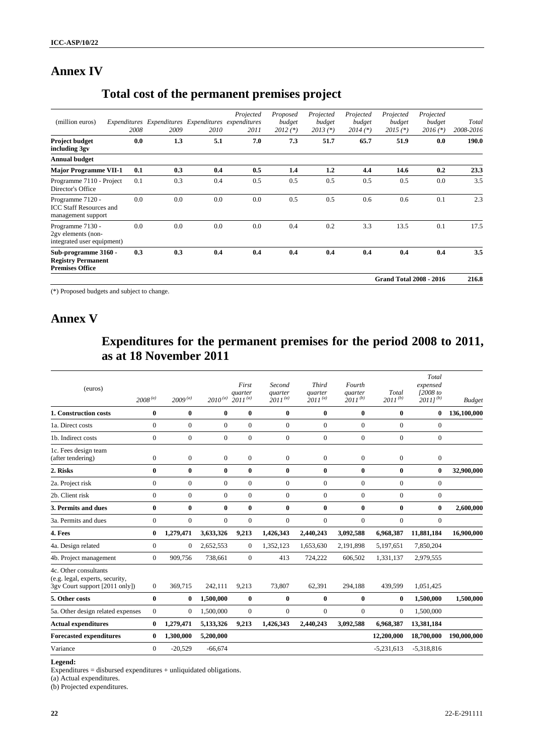# **Annex IV**

## **Total cost of the permanent premises project**

|                                                                             |      |                                                             |      |                   |                                  |                                   |                                   | <b>Grand Total 2008 - 2016</b>    |                                   | 216.8              |
|-----------------------------------------------------------------------------|------|-------------------------------------------------------------|------|-------------------|----------------------------------|-----------------------------------|-----------------------------------|-----------------------------------|-----------------------------------|--------------------|
| Sub-programme 3160 -<br><b>Registry Permanent</b><br><b>Premises Office</b> | 0.3  | 0.3                                                         | 0.4  | 0.4               | 0.4                              | 0.4                               | 0.4                               | 0.4                               | 0.4                               | 3.5                |
| Programme 7130 -<br>2gv elements (non-<br>integrated user equipment)        | 0.0  | 0.0                                                         | 0.0  | 0.0               | 0.4                              | 0.2                               | 3.3                               | 13.5                              | 0.1                               | 17.5               |
| Programme 7120 -<br><b>ICC Staff Resources and</b><br>management support    | 0.0  | 0.0                                                         | 0.0  | 0.0               | 0.5                              | 0.5                               | 0.6                               | 0.6                               | 0.1                               | 2.3                |
| Programme 7110 - Project<br>Director's Office                               | 0.1  | 0.3                                                         | 0.4  | 0.5               | 0.5                              | 0.5                               | 0.5                               | 0.5                               | 0.0                               | 3.5                |
| <b>Major Programme VII-1</b>                                                | 0.1  | 0.3                                                         | 0.4  | 0.5               | 1.4                              | 1.2                               | 4.4                               | 14.6                              | 0.2                               | 23.3               |
| <b>Annual budget</b>                                                        |      |                                                             |      |                   |                                  |                                   |                                   |                                   |                                   |                    |
| <b>Project budget</b><br>including 3gv                                      | 0.0  | 1.3                                                         | 5.1  | 7.0               | 7.3                              | 51.7                              | 65.7                              | 51.9                              | 0.0                               | 190.0              |
| (million euros)                                                             | 2008 | Expenditures Expenditures Expenditures expenditures<br>2009 | 2010 | Projected<br>2011 | Proposed<br>budget<br>$2012$ (*) | Projected<br>budget<br>$2013 (*)$ | Projected<br>budget<br>$2014$ (*) | Projected<br>budget<br>$2015$ (*) | Projected<br>budget<br>$2016$ (*) | Total<br>2008-2016 |

(\*) Proposed budgets and subject to change.

### **Annex V**

# **Expenditures for the permanent premises for the period 2008 to 2011, as at 18 November 2011**

| (euros)                                                                                    | $2008^{(a)}$     | $2009^{(a)}$     | $2010^{\,(a)}$ | First<br>quarter<br>$2011^{(a)}$ | Second<br>quarter<br>$2011^{(a)}$ | <b>Third</b><br>quarter<br>$2011^{(a)}$ | Fourth<br>quarter<br>$2011^{(b)}$ | Total<br>$2011^{(b)}$ | Total<br>expensed<br>$I2008$ to<br>$20111^{(b)}$ | <b>Budget</b> |
|--------------------------------------------------------------------------------------------|------------------|------------------|----------------|----------------------------------|-----------------------------------|-----------------------------------------|-----------------------------------|-----------------------|--------------------------------------------------|---------------|
| 1. Construction costs                                                                      | 0                | $\bf{0}$         | $\bf{0}$       | $\bf{0}$                         | $\mathbf{0}$                      | 0                                       | $\bf{0}$                          | $\bf{0}$              | $\bf{0}$                                         | 136,100,000   |
| 1a. Direct costs                                                                           | $\overline{0}$   | $\mathbf{0}$     | $\overline{0}$ | $\mathbf{0}$                     | $\Omega$                          | $\mathbf{0}$                            | $\mathbf{0}$                      | $\mathbf{0}$          | $\mathbf{0}$                                     |               |
| 1b. Indirect costs                                                                         | $\overline{0}$   | $\boldsymbol{0}$ | $\overline{0}$ | $\boldsymbol{0}$                 | $\mathbf{0}$                      | $\mathbf{0}$                            | $\mathbf{0}$                      | $\theta$              | $\boldsymbol{0}$                                 |               |
| 1c. Fees design team<br>(after tendering)                                                  | $\mathbf{0}$     | $\mathbf{0}$     | $\overline{0}$ | $\mathbf{0}$                     | $\mathbf{0}$                      | $\mathbf{0}$                            | $\mathbf{0}$                      | $\overline{0}$        | $\mathbf{0}$                                     |               |
| 2. Risks                                                                                   | $\bf{0}$         | $\bf{0}$         | $\bf{0}$       | $\bf{0}$                         | $\mathbf{0}$                      | $\bf{0}$                                | $\bf{0}$                          | $\bf{0}$              | $\bf{0}$                                         | 32,900,000    |
| 2a. Project risk                                                                           | $\overline{0}$   | $\mathbf{0}$     | $\overline{0}$ | $\mathbf{0}$                     | $\overline{0}$                    | $\mathbf{0}$                            | $\mathbf{0}$                      | $\mathbf{0}$          | $\mathbf{0}$                                     |               |
| 2b. Client risk                                                                            | $\Omega$         | $\mathbf{0}$     | $\mathbf{0}$   | $\theta$                         | $\Omega$                          | $\Omega$                                | $\Omega$                          | $\Omega$              | $\mathbf{0}$                                     |               |
| 3. Permits and dues                                                                        | 0                | $\bf{0}$         | $\bf{0}$       | $\bf{0}$                         | $\bf{0}$                          | $\bf{0}$                                | $\bf{0}$                          | $\bf{0}$              | $\bf{0}$                                         | 2,600,000     |
| 3a. Permits and dues                                                                       | $\overline{0}$   | $\mathbf{0}$     | $\Omega$       | $\theta$                         | $\Omega$                          | $\Omega$                                | $\Omega$                          | $\Omega$              | $\mathbf{0}$                                     |               |
| 4. Fees                                                                                    | $\bf{0}$         | 1,279,471        | 3,633,326      | 9,213                            | 1,426,343                         | 2,440,243                               | 3,092,588                         | 6,968,387             | 11,881,184                                       | 16,900,000    |
| 4a. Design related                                                                         | $\boldsymbol{0}$ | $\mathbf{0}$     | 2,652,553      | $\mathbf{0}$                     | 1,352,123                         | 1,653,630                               | 2,191,898                         | 5,197,651             | 7,850,204                                        |               |
| 4b. Project management                                                                     | $\overline{0}$   | 909,756          | 738,661        | $\mathbf{0}$                     | 413                               | 724,222                                 | 606,502                           | 1,331,137             | 2,979,555                                        |               |
| 4c. Other consultants<br>(e.g. legal, experts, security,<br>3gy Court support [2011 only]) | $\overline{0}$   | 369,715          | 242.111        | 9,213                            | 73.807                            | 62,391                                  | 294.188                           | 439,599               | 1.051.425                                        |               |
| 5. Other costs                                                                             | 0                | $\bf{0}$         | 1,500,000      | $\bf{0}$                         | $\bf{0}$                          | $\bf{0}$                                | $\bf{0}$                          | $\bf{0}$              | 1,500,000                                        | 1,500,000     |
| 5a. Other design related expenses                                                          | $\mathbf{0}$     | $\mathbf{0}$     | 1.500.000      | $\overline{0}$                   | $\mathbf{0}$                      | $\mathbf{0}$                            | $\mathbf{0}$                      | $\theta$              | 1.500.000                                        |               |
| <b>Actual expenditures</b>                                                                 | $\bf{0}$         | 1,279,471        | 5,133,326      | 9,213                            | 1,426,343                         | 2,440,243                               | 3,092,588                         | 6,968,387             | 13,381,184                                       |               |
| <b>Forecasted expenditures</b>                                                             | 0                | 1,300,000        | 5,200,000      |                                  |                                   |                                         |                                   | 12,200,000            | 18,700,000                                       | 190,000,000   |
| Variance                                                                                   | $\Omega$         | $-20,529$        | $-66,674$      |                                  |                                   |                                         |                                   | $-5,231,613$          | $-5,318,816$                                     |               |
|                                                                                            |                  |                  |                |                                  |                                   |                                         |                                   |                       |                                                  |               |

#### **Legend:**

Expenditures = disbursed expenditures + unliquidated obligations.

(a) Actual expenditures.

(b) Projected expenditures.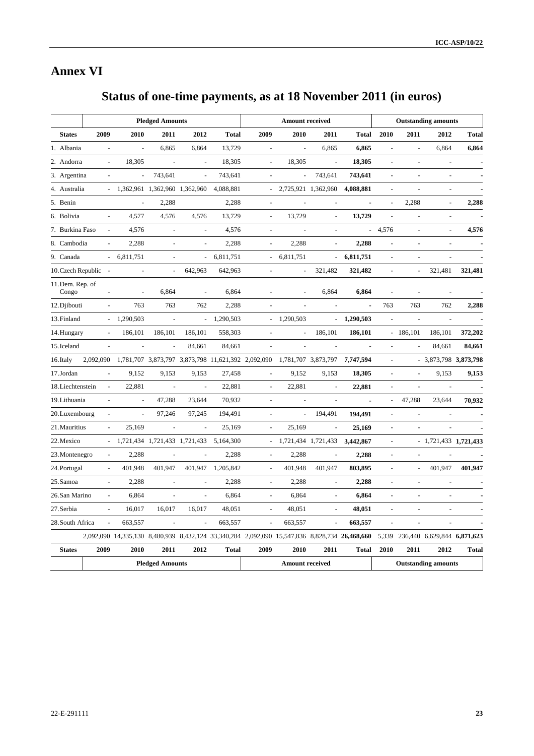# **Annex VI**

# **Status of one-time payments, as at 18 November 2011 (in euros)**

|                      |                          |                                                                                               | <b>Pledged Amounts</b>        |                          |              |                          | <b>Amount received</b>                                                 |                          |              |                |                          | <b>Outstanding amounts</b>        |              |
|----------------------|--------------------------|-----------------------------------------------------------------------------------------------|-------------------------------|--------------------------|--------------|--------------------------|------------------------------------------------------------------------|--------------------------|--------------|----------------|--------------------------|-----------------------------------|--------------|
| <b>States</b>        | 2009                     | 2010                                                                                          | 2011                          | 2012                     | <b>Total</b> | 2009                     | 2010                                                                   | 2011                     | Total        | 2010           | 2011                     | 2012                              | <b>Total</b> |
| 1. Albania           |                          | $\overline{a}$                                                                                | 6,865                         | 6,864                    | 13,729       | ÷,                       | $\overline{a}$                                                         | 6,865                    | 6,865        |                |                          | 6.864                             | 6,864        |
| 2. Andorra           |                          | 18,305                                                                                        |                               |                          | 18,305       |                          | 18,305                                                                 |                          | 18,305       |                |                          |                                   |              |
| 3. Argentina         | $\overline{\phantom{a}}$ | $\Box$                                                                                        | 743,641                       | $\overline{\phantom{a}}$ | 743,641      | $\overline{\phantom{a}}$ | $\overline{\phantom{a}}$                                               | 743,641                  | 743,641      |                | $\overline{\phantom{a}}$ |                                   |              |
| 4. Australia         |                          | $-1,362,961$ $1,362,960$ $1,362,960$                                                          |                               |                          | 4,088,881    |                          |                                                                        | 2,725,921 1,362,960      | 4,088,881    |                |                          |                                   |              |
| 5. Benin             |                          |                                                                                               | 2,288                         |                          | 2,288        | $\overline{\phantom{a}}$ |                                                                        |                          |              |                | 2,288                    | $\overline{\phantom{a}}$          | 2,288        |
| 6. Bolivia           |                          | 4,577                                                                                         | 4,576                         | 4,576                    | 13,729       | $\overline{a}$           | 13,729                                                                 | $\overline{a}$           | 13,729       |                |                          |                                   |              |
| 7. Burkina Faso      |                          | 4,576                                                                                         | $\overline{\phantom{a}}$      | $\blacksquare$           | 4,576        | $\frac{1}{2}$            |                                                                        |                          | ÷.           | 4,576          |                          | ÷,                                | 4,576        |
| 8. Cambodia          | $\overline{\phantom{a}}$ | 2,288                                                                                         | $\sim$                        | $\overline{a}$           | 2,288        | $\overline{\phantom{a}}$ | 2,288                                                                  | $\overline{a}$           | 2,288        |                | $\overline{\phantom{a}}$ |                                   |              |
| 9. Canada            | $\omega_{\rm{eff}}$      | 6,811,751                                                                                     | $\overline{a}$                |                          | 6,811,751    |                          | 6,811,751                                                              | $\overline{\phantom{a}}$ | 6,811,751    |                |                          |                                   |              |
| 10. Czech Republic - |                          | $\overline{\phantom{a}}$                                                                      | $\overline{\phantom{a}}$      | 642,963                  | 642,963      | $\overline{\phantom{a}}$ | $\blacksquare$                                                         | 321,482                  | 321,482      |                | $\overline{a}$           | 321,481                           | 321,481      |
| 11. Dem. Rep. of     |                          |                                                                                               |                               |                          |              |                          |                                                                        |                          |              |                |                          |                                   |              |
| Congo                | $\overline{\phantom{a}}$ | $\overline{\phantom{a}}$                                                                      | 6,864                         | $\bar{a}$                | 6,864        |                          |                                                                        | 6,864                    | 6,864        |                | ÷,                       |                                   |              |
| 12. Djibouti         | $\overline{\phantom{a}}$ | 763                                                                                           | 763                           | 762                      | 2,288        |                          |                                                                        |                          | ä,           | 763            | 763                      | 762                               | 2,288        |
| 13. Finland          |                          | 1,290,503                                                                                     |                               | $\omega_{\rm c}$         | 1,290,503    |                          | 1,290,503                                                              | $\blacksquare$           | 1,290,503    |                |                          |                                   |              |
| 14. Hungary          |                          | 186,101                                                                                       | 186,101                       | 186,101                  | 558,303      |                          |                                                                        | 186,101                  | 186,101      |                | $-186,101$               | 186,101                           | 372,202      |
| 15. Iceland          | $\overline{a}$           | $\overline{a}$                                                                                | ÷,                            | 84,661                   | 84,661       | ÷,                       |                                                                        |                          |              | $\overline{a}$ |                          | 84,661                            | 84,661       |
| 16. Italy            | 2,092,090                |                                                                                               |                               |                          |              |                          | 1,781,707 3,873,797 3,873,798 11,621,392 2,092,090 1,781,707 3,873,797 |                          | 7,747,594    |                |                          | $-3,873,798$ 3,873,798            |              |
| 17. Jordan           |                          | 9,152                                                                                         | 9,153                         | 9,153                    | 27,458       |                          | 9,152                                                                  | 9,153                    | 18,305       |                |                          | 9,153                             | 9,153        |
| 18. Liechtenstein    | $\overline{a}$           | 22,881                                                                                        | $\overline{a}$                | $\sim$                   | 22,881       | $\sim$                   | 22,881                                                                 |                          | 22,881       |                | $\overline{a}$           |                                   |              |
| 19. Lithuania        |                          |                                                                                               | 47,288                        | 23,644                   | 70,932       |                          |                                                                        |                          |              |                | 47,288                   | 23,644                            | 70,932       |
| 20. Luxembourg       | $\overline{\phantom{a}}$ | $\bar{\phantom{a}}$                                                                           | 97,246                        | 97,245                   | 194,491      | $\blacksquare$           | $\blacksquare$                                                         | 194,491                  | 194,491      | $\overline{a}$ | $\overline{a}$           |                                   |              |
| 21. Mauritius        |                          | 25,169                                                                                        |                               |                          | 25,169       |                          | 25,169                                                                 |                          | 25,169       |                |                          |                                   |              |
| 22. Mexico           |                          |                                                                                               | 1,721,434 1,721,433 1,721,433 |                          | 5,164,300    |                          |                                                                        | 1,721,434 1,721,433      | 3,442,867    |                |                          | $-1,721,433$ 1,721,433            |              |
| 23. Montenegro       |                          | 2,288                                                                                         |                               |                          | 2,288        |                          | 2,288                                                                  |                          | 2,288        |                |                          |                                   |              |
| 24. Portugal         | $\overline{\phantom{a}}$ | 401,948                                                                                       | 401,947                       | 401,947                  | 1,205,842    | $\overline{\phantom{a}}$ | 401,948                                                                | 401,947                  | 803,895      |                | $\overline{a}$           | 401,947                           | 401,947      |
| 25. Samoa            | $\overline{\phantom{a}}$ | 2,288                                                                                         | $\sim$                        | $\overline{a}$           | 2,288        | $\sim$                   | 2,288                                                                  | $\sim$                   | 2,288        |                | $\overline{a}$           | L,                                |              |
| 26.San Marino        |                          | 6,864                                                                                         |                               |                          | 6,864        |                          | 6,864                                                                  |                          | 6,864        |                |                          |                                   |              |
| 27. Serbia           |                          | 16,017                                                                                        | 16,017                        | 16,017                   | 48,051       |                          | 48,051                                                                 |                          | 48,051       |                |                          |                                   |              |
| 28. South Africa     |                          | 663,557                                                                                       |                               |                          | 663,557      |                          | 663,557                                                                |                          | 663,557      |                |                          |                                   |              |
|                      |                          | 2,092,090 14,335,130 8,480,939 8,432,124 33,340,284 2,092,090 15,547,836 8,828,734 26,468,660 |                               |                          |              |                          |                                                                        |                          |              |                |                          | 5,339 236,440 6,629,844 6,871,623 |              |
| <b>States</b>        | 2009                     | 2010                                                                                          | 2011                          | 2012                     | <b>Total</b> | 2009                     | 2010                                                                   | 2011                     | <b>Total</b> | 2010           | 2011                     | 2012                              | <b>Total</b> |
|                      |                          |                                                                                               | <b>Pledged Amounts</b>        |                          |              |                          | <b>Amount received</b>                                                 |                          |              |                |                          | <b>Outstanding amounts</b>        |              |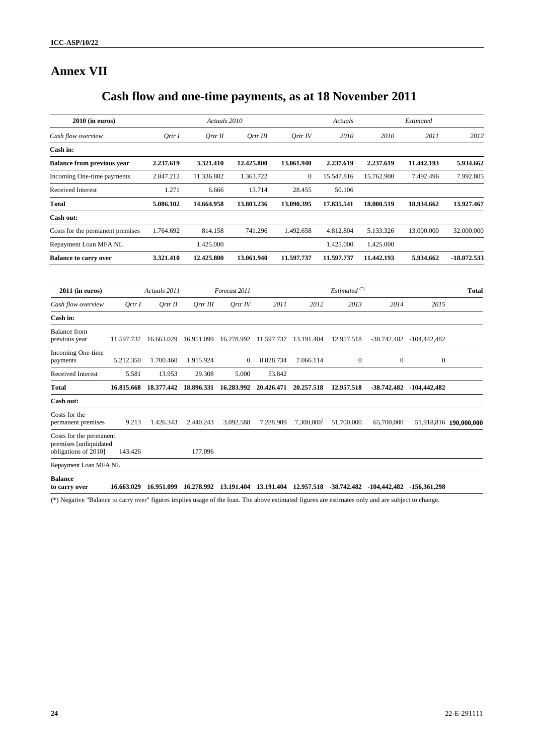# **Annex VII**

# **Cash flow and one-time payments, as at 18 November 2011**

| $2010$ (in euros)                                                         |            |              |            | Actuals 2010          |                       |              | Actuals                  | Estimated                            |                              |                        |  |
|---------------------------------------------------------------------------|------------|--------------|------------|-----------------------|-----------------------|--------------|--------------------------|--------------------------------------|------------------------------|------------------------|--|
| Cash flow overview                                                        |            | Ortr I       | Ortr II    |                       | Ortr III              | Ortr IV      | 2010                     | 2010                                 | 2011                         | 2012                   |  |
| Cash in:                                                                  |            |              |            |                       |                       |              |                          |                                      |                              |                        |  |
| <b>Balance from previous year</b>                                         |            | 2.237.619    | 3.321.410  | 12.425.800            |                       | 13.061.940   | 2.237.619                | 2.237.619                            | 11.442.193                   | 5.934.662              |  |
| Incoming One-time payments                                                |            | 2.847.212    | 11.336.882 |                       | 1.363.722             | $\mathbf{0}$ | 15.547.816               | 15.762.900                           | 7.492.496                    | 7.992.805              |  |
| Received Interest                                                         |            | 1.271        | 6.666      |                       | 13.714                | 28.455       | 50.106                   |                                      |                              |                        |  |
| <b>Total</b>                                                              |            | 5.086.102    | 14.664.958 |                       | 13.803.236            | 13.090.395   | 17.835.541               | 18.000.519                           | 18.934.662                   | 13.927.467             |  |
| Cash out:                                                                 |            |              |            |                       |                       |              |                          |                                      |                              |                        |  |
| Costs for the permanent premises                                          |            | 1.764.692    | 814.158    |                       | 741.296               | 1.492.658    | 4.812.804                | 5.133.326                            | 13.000.000                   | 32.000.000             |  |
| Repayment Loan MFA NL                                                     |            |              | 1.425.000  |                       |                       |              | 1.425.000                | 1.425.000                            |                              |                        |  |
| <b>Balance to carry over</b>                                              |            | 3.321.410    | 12.425.800 |                       | 13.061.940            | 11.597.737   | 11.597.737               | 11.442.193                           | 5.934.662                    | -18.072.533            |  |
|                                                                           |            | Actuals 2011 |            | Forecast 2011         |                       |              | Estimated <sup>(*)</sup> |                                      |                              |                        |  |
| $2011$ (in euros)                                                         |            |              |            |                       |                       |              |                          |                                      |                              | <b>Total</b>           |  |
| Cash flow overview                                                        | Ortr I     | Qrtr II      | Ortr III   | Ortr IV               | 2011                  | 2012         | 2013                     | 2014                                 | 2015                         |                        |  |
| Cash in:                                                                  |            |              |            |                       |                       |              |                          |                                      |                              |                        |  |
| <b>Balance</b> from<br>previous year                                      | 11.597.737 | 16.663.029   | 16.951.099 |                       | 16.278.992 11.597.737 | 13.191.404   | 12.957.518               |                                      | $-38.742.482$ $-104,442,482$ |                        |  |
| Incoming One-time<br>payments                                             | 5.212.350  | 1.700.460    | 1.915.924  | $\mathbf{0}$          | 8.828.734             | 7.066.114    |                          | $\boldsymbol{0}$<br>$\boldsymbol{0}$ | $\boldsymbol{0}$             |                        |  |
| Received Interest                                                         | 5.581      | 13.953       | 29.308     | 5.000                 | 53.842                |              |                          |                                      |                              |                        |  |
| <b>Total</b>                                                              | 16.815.668 | 18.377.442   |            | 18.896.331 16.283.992 | 20.426.471            | 20.257.518   | 12.957.518               |                                      | $-38.742.482$ $-104,442,482$ |                        |  |
| Cash out:                                                                 |            |              |            |                       |                       |              |                          |                                      |                              |                        |  |
| Costs for the<br>permanent premises                                       | 9.213      | 1.426.343    | 2.440.243  | 3.092.588             | 7.288.909             | 7,300,000'   | 51,700,000               | 65,700,000                           |                              | 51,918,816 190,000,000 |  |
| Costs for the permanent<br>premises [unliquidated<br>obligations of 2010] | 143.426    |              | 177.096    |                       |                       |              |                          |                                      |                              |                        |  |
| Repayment Loan MFA NL                                                     |            |              |            |                       |                       |              |                          |                                      |                              |                        |  |
| <b>Balance</b><br>to carry over                                           | 16.663.029 | 16.951.099   | 16.278.992 | 13.191.404            | 13.191.404            | 12.957.518   |                          | $-38.742.482$ $-104,442,482$         | -156,361,298                 |                        |  |

(\*) Negative "Balance to carry over" figures implies usage of the loan. The above estimated figures are estimates only and are subject to change.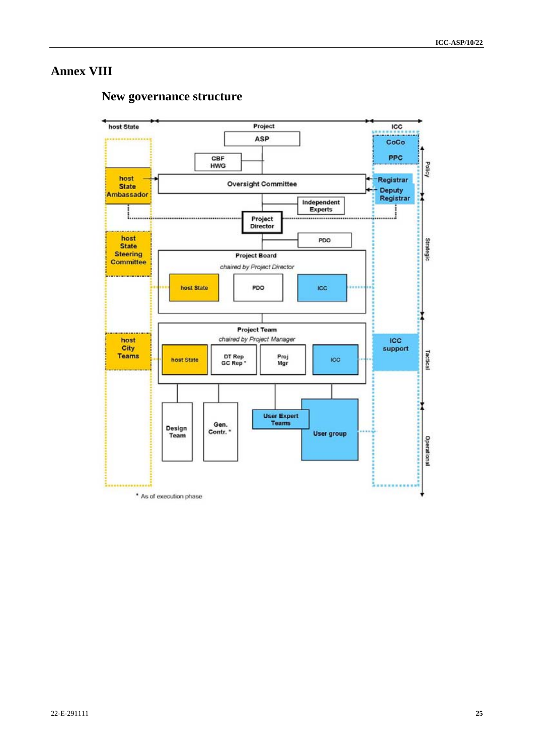### **Annex VIII**

# **New governance structure**

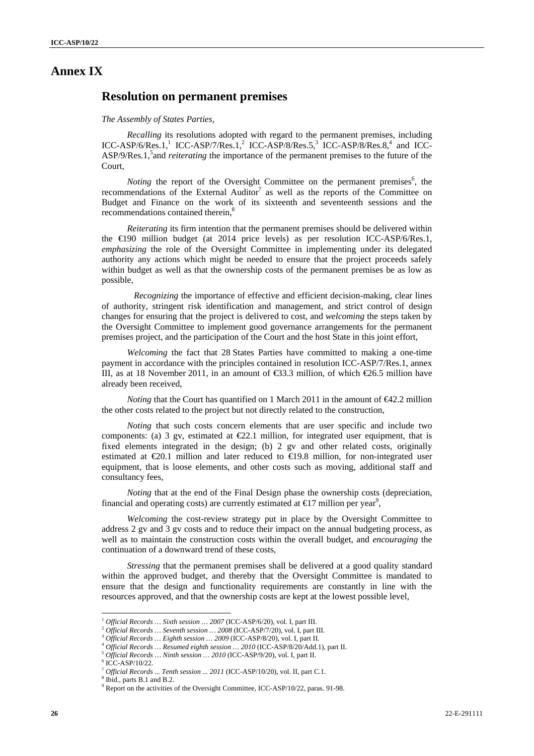### **Annex IX**

### **Resolution on permanent premises**

#### *The Assembly of States Parties,*

*Recalling* its resolutions adopted with regard to the permanent premises, including ICC-ASP/6/Res.1,<sup>1</sup> ICC-ASP/7/Res.1,<sup>2</sup> ICC-ASP/8/Res.5,<sup>3</sup> ICC-ASP/8/Res.8,<sup>4</sup> and ICC-ASP/9/Res.1,<sup>5</sup> and *reiterating* the importance of the permanent premises to the future of the Court,

*Noting* the report of the Oversight Committee on the permanent premises<sup>6</sup>, the recommendations of the External Auditor<sup>7</sup> as well as the reports of the Committee on Budget and Finance on the work of its sixteenth and seventeenth sessions and the recommendations contained therein.<sup>8</sup>

*Reiterating* its firm intention that the permanent premises should be delivered within the €190 million budget (at 2014 price levels) as per resolution ICC-ASP/6/Res.1, *emphasizing* the role of the Oversight Committee in implementing under its delegated authority any actions which might be needed to ensure that the project proceeds safely within budget as well as that the ownership costs of the permanent premises be as low as possible,

*Recognizing* the importance of effective and efficient decision-making, clear lines of authority, stringent risk identification and management, and strict control of design changes for ensuring that the project is delivered to cost, and *welcoming* the steps taken by the Oversight Committee to implement good governance arrangements for the permanent premises project, and the participation of the Court and the host State in this joint effort,

*Welcoming* the fact that 28 States Parties have committed to making a one-time payment in accordance with the principles contained in resolution ICC-ASP/7/Res.1, annex III, as at 18 November 2011, in an amount of  $\text{\textsterling}3.3$  million, of which  $\text{\textsterling}6.5$  million have already been received,

*Noting* that the Court has quantified on 1 March 2011 in the amount of  $\bigoplus 2.2$  million the other costs related to the project but not directly related to the construction,

*Noting* that such costs concern elements that are user specific and include two components: (a) 3 gv, estimated at  $\epsilon$ 2.1 million, for integrated user equipment, that is fixed elements integrated in the design; (b) 2 gv and other related costs, originally estimated at  $\epsilon 20.1$  million and later reduced to  $\epsilon 19.8$  million, for non-integrated user equipment, that is loose elements, and other costs such as moving, additional staff and consultancy fees,

*Noting* that at the end of the Final Design phase the ownership costs (depreciation, financial and operating costs) are currently estimated at  $\epsilon$ 17 million per year<sup>9</sup>,

*Welcoming* the cost-review strategy put in place by the Oversight Committee to address 2 gv and 3 gv costs and to reduce their impact on the annual budgeting process, as well as to maintain the construction costs within the overall budget, and *encouraging* the continuation of a downward trend of these costs,

*Stressing* that the permanent premises shall be delivered at a good quality standard within the approved budget, and thereby that the Oversight Committee is mandated to ensure that the design and functionality requirements are constantly in line with the resources approved, and that the ownership costs are kept at the lowest possible level,

Official Records ... Sixth session ... 2007 (ICC-ASP/6/20), vol. I, part III.<br>
Official Records ... Seventh session ... 2008 (ICC-ASP/7/20), vol. I, part III.<br>
Official Records ... Eighth session ... 2009 (ICC-ASP/8/20),

 $6$  ICC-ASP/10/22.

*Official Records ... Tenth session ... 2011* (ICC-ASP/10/20), vol. II, part C.1.

Ibid., parts B.1 and B.2.

<sup>&</sup>lt;sup>9</sup> Report on the activities of the Oversight Committee, ICC-ASP/10/22, paras. 91-98.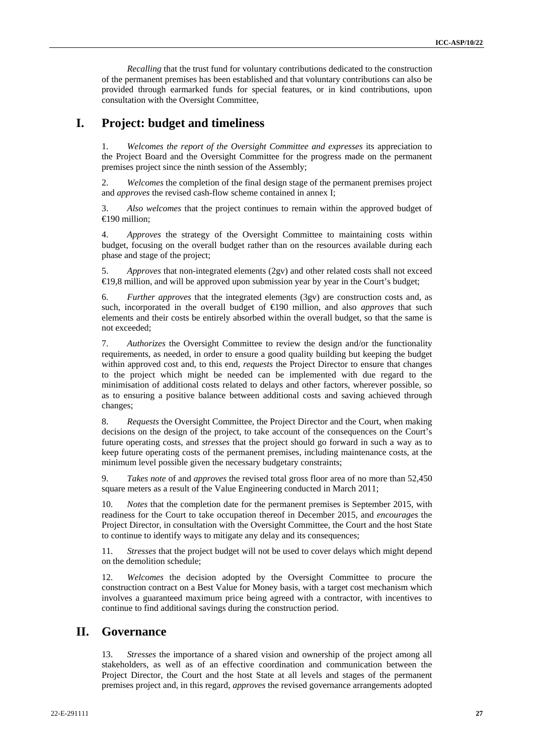*Recalling* that the trust fund for voluntary contributions dedicated to the construction of the permanent premises has been established and that voluntary contributions can also be provided through earmarked funds for special features, or in kind contributions, upon consultation with the Oversight Committee,

### **I. Project: budget and timeliness**

1. *Welcomes the report of the Oversight Committee and expresses* its appreciation to the Project Board and the Oversight Committee for the progress made on the permanent premises project since the ninth session of the Assembly;

2. *Welcomes* the completion of the final design stage of the permanent premises project and *approves* the revised cash-flow scheme contained in annex I;

3. *Also welcomes* that the project continues to remain within the approved budget of €190 million;

4. *Approves* the strategy of the Oversight Committee to maintaining costs within budget, focusing on the overall budget rather than on the resources available during each phase and stage of the project;

5. *Approves* that non-integrated elements (2gv) and other related costs shall not exceed €19,8 million, and will be approved upon submission year by year in the Court's budget;

6. *Further approves* that the integrated elements (3gv) are construction costs and, as such, incorporated in the overall budget of €190 million, and also *approves* that such elements and their costs be entirely absorbed within the overall budget, so that the same is not exceeded;

7. *Authorizes* the Oversight Committee to review the design and/or the functionality requirements, as needed, in order to ensure a good quality building but keeping the budget within approved cost and, to this end, *requests* the Project Director to ensure that changes to the project which might be needed can be implemented with due regard to the minimisation of additional costs related to delays and other factors, wherever possible, so as to ensuring a positive balance between additional costs and saving achieved through changes;

8. *Requests* the Oversight Committee, the Project Director and the Court, when making decisions on the design of the project, to take account of the consequences on the Court's future operating costs, and *stresses* that the project should go forward in such a way as to keep future operating costs of the permanent premises, including maintenance costs, at the minimum level possible given the necessary budgetary constraints;

9. *Takes note* of and *approves* the revised total gross floor area of no more than 52,450 square meters as a result of the Value Engineering conducted in March 2011;

10. *Notes* that the completion date for the permanent premises is September 2015, with readiness for the Court to take occupation thereof in December 2015, and *encourages* the Project Director, in consultation with the Oversight Committee, the Court and the host State to continue to identify ways to mitigate any delay and its consequences;

11. *Stresses* that the project budget will not be used to cover delays which might depend on the demolition schedule;

12. *Welcomes* the decision adopted by the Oversight Committee to procure the construction contract on a Best Value for Money basis, with a target cost mechanism which involves a guaranteed maximum price being agreed with a contractor, with incentives to continue to find additional savings during the construction period.

### **II. Governance**

13. *Stresses* the importance of a shared vision and ownership of the project among all stakeholders, as well as of an effective coordination and communication between the Project Director, the Court and the host State at all levels and stages of the permanent premises project and, in this regard, *approves* the revised governance arrangements adopted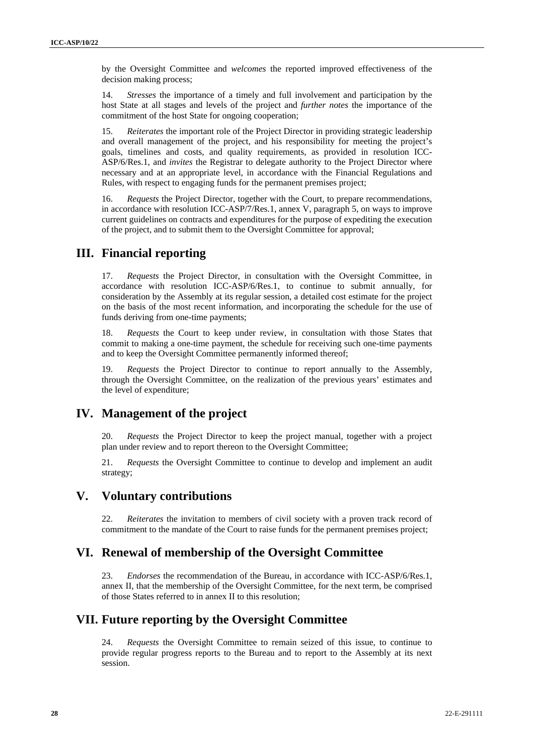by the Oversight Committee and *welcomes* the reported improved effectiveness of the decision making process;

14. *Stresses* the importance of a timely and full involvement and participation by the host State at all stages and levels of the project and *further notes* the importance of the commitment of the host State for ongoing cooperation;

15. *Reiterates* the important role of the Project Director in providing strategic leadership and overall management of the project, and his responsibility for meeting the project's goals, timelines and costs, and quality requirements, as provided in resolution ICC-ASP/6/Res.1, and *invites* the Registrar to delegate authority to the Project Director where necessary and at an appropriate level, in accordance with the Financial Regulations and Rules, with respect to engaging funds for the permanent premises project;

16. *Requests* the Project Director, together with the Court, to prepare recommendations, in accordance with resolution ICC-ASP/7/Res.1, annex V, paragraph 5, on ways to improve current guidelines on contracts and expenditures for the purpose of expediting the execution of the project, and to submit them to the Oversight Committee for approval;

### **III. Financial reporting**

17. *Requests* the Project Director, in consultation with the Oversight Committee, in accordance with resolution ICC-ASP/6/Res.1, to continue to submit annually, for consideration by the Assembly at its regular session, a detailed cost estimate for the project on the basis of the most recent information, and incorporating the schedule for the use of funds deriving from one-time payments;

18. *Requests* the Court to keep under review, in consultation with those States that commit to making a one-time payment, the schedule for receiving such one-time payments and to keep the Oversight Committee permanently informed thereof;

19. *Requests* the Project Director to continue to report annually to the Assembly, through the Oversight Committee, on the realization of the previous years' estimates and the level of expenditure;

### **IV. Management of the project**

20. *Requests* the Project Director to keep the project manual, together with a project plan under review and to report thereon to the Oversight Committee;

21. *Requests* the Oversight Committee to continue to develop and implement an audit strategy;

### **V. Voluntary contributions**

22. *Reiterates* the invitation to members of civil society with a proven track record of commitment to the mandate of the Court to raise funds for the permanent premises project;

### **VI. Renewal of membership of the Oversight Committee**

23. *Endorses* the recommendation of the Bureau, in accordance with ICC-ASP/6/Res.1, annex II, that the membership of the Oversight Committee, for the next term, be comprised of those States referred to in annex II to this resolution;

### **VII. Future reporting by the Oversight Committee**

24. *Requests* the Oversight Committee to remain seized of this issue, to continue to provide regular progress reports to the Bureau and to report to the Assembly at its next session.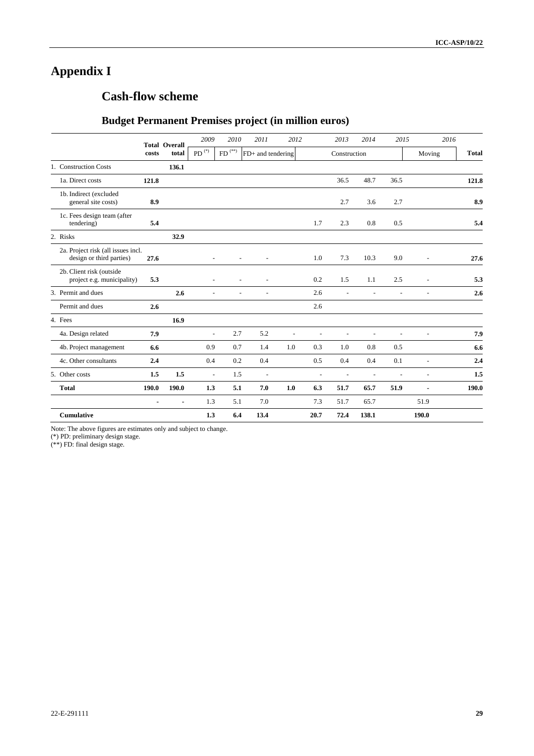# **Appendix I**

# **Cash-flow scheme**

### **Budget Permanent Premises project (in million euros)**

|                                                                |       | <b>Total Overall</b> | 2009                | 2010       | 2011                     | 2012           |      | 2013         | 2014           | 2015           |                | 2016         |
|----------------------------------------------------------------|-------|----------------------|---------------------|------------|--------------------------|----------------|------|--------------|----------------|----------------|----------------|--------------|
|                                                                | costs | total                | $\mathrm{PD}^{(*)}$ | $FD^{(*)}$ | FD+ and tendering        |                |      | Construction |                |                | Moving         | <b>Total</b> |
| 1. Construction Costs                                          |       | 136.1                |                     |            |                          |                |      |              |                |                |                |              |
| 1a. Direct costs                                               | 121.8 |                      |                     |            |                          |                |      | 36.5         | 48.7           | 36.5           |                | 121.8        |
| 1b. Indirect (excluded<br>general site costs)                  | 8.9   |                      |                     |            |                          |                |      | 2.7          | 3.6            | 2.7            |                | 8.9          |
| 1c. Fees design team (after<br>tendering)                      | 5.4   |                      |                     |            |                          |                | 1.7  | 2.3          | 0.8            | 0.5            |                | 5.4          |
| 2. Risks                                                       |       | 32.9                 |                     |            |                          |                |      |              |                |                |                |              |
| 2a. Project risk (all issues incl.<br>design or third parties) | 27.6  |                      |                     |            | $\overline{a}$           |                | 1.0  | 7.3          | 10.3           | 9.0            | L,             | 27.6         |
| 2b. Client risk (outside<br>project e.g. municipality)         | 5.3   |                      |                     |            | L,                       |                | 0.2  | 1.5          | 1.1            | 2.5            | $\overline{a}$ | 5.3          |
| 3. Permit and dues                                             |       | 2.6                  | ٠                   |            | $\overline{a}$           |                | 2.6  |              | $\overline{a}$ | $\overline{a}$ | $\overline{a}$ | 2.6          |
| Permit and dues                                                | 2.6   |                      |                     |            |                          |                | 2.6  |              |                |                |                |              |
| 4. Fees                                                        |       | 16.9                 |                     |            |                          |                |      |              |                |                |                |              |
| 4a. Design related                                             | 7.9   |                      | $\overline{a}$      | 2.7        | 5.2                      | $\overline{a}$ | L,   |              | $\overline{a}$ | $\overline{a}$ | Ē,             | 7.9          |
| 4b. Project management                                         | 6.6   |                      | 0.9                 | 0.7        | 1.4                      | 1.0            | 0.3  | 1.0          | 0.8            | 0.5            |                | 6.6          |
| 4c. Other consultants                                          | 2.4   |                      | 0.4                 | 0.2        | 0.4                      |                | 0.5  | 0.4          | 0.4            | 0.1            | $\overline{a}$ | 2.4          |
| 5. Other costs                                                 | 1.5   | 1.5                  | $\blacksquare$      | 1.5        | $\overline{\phantom{a}}$ |                | ÷,   |              | ÷,             | ÷,             | ÷,             | 1.5          |
| <b>Total</b>                                                   | 190.0 | 190.0                | 1.3                 | 5.1        | 7.0                      | 1.0            | 6.3  | 51.7         | 65.7           | 51.9           |                | 190.0        |
|                                                                |       |                      | 1.3                 | 5.1        | 7.0                      |                | 7.3  | 51.7         | 65.7           |                | 51.9           |              |
| <b>Cumulative</b>                                              |       |                      | 1.3                 | 6.4        | 13.4                     |                | 20.7 | 72.4         | 138.1          |                | 190.0          |              |

Note: The above figures are estimates only and subject to change.

(\*) PD: preliminary design stage.

(\*\*) FD: final design stage.